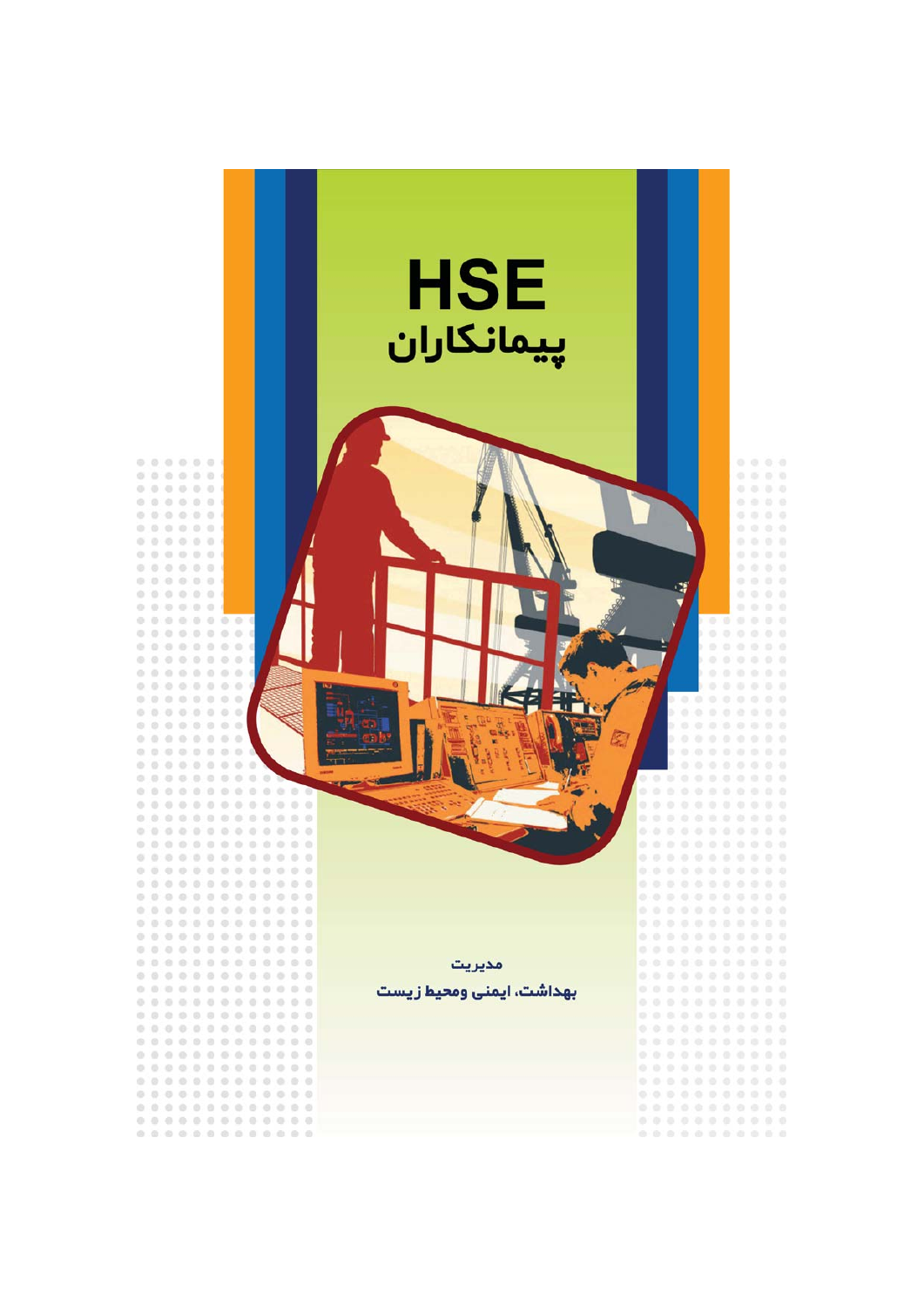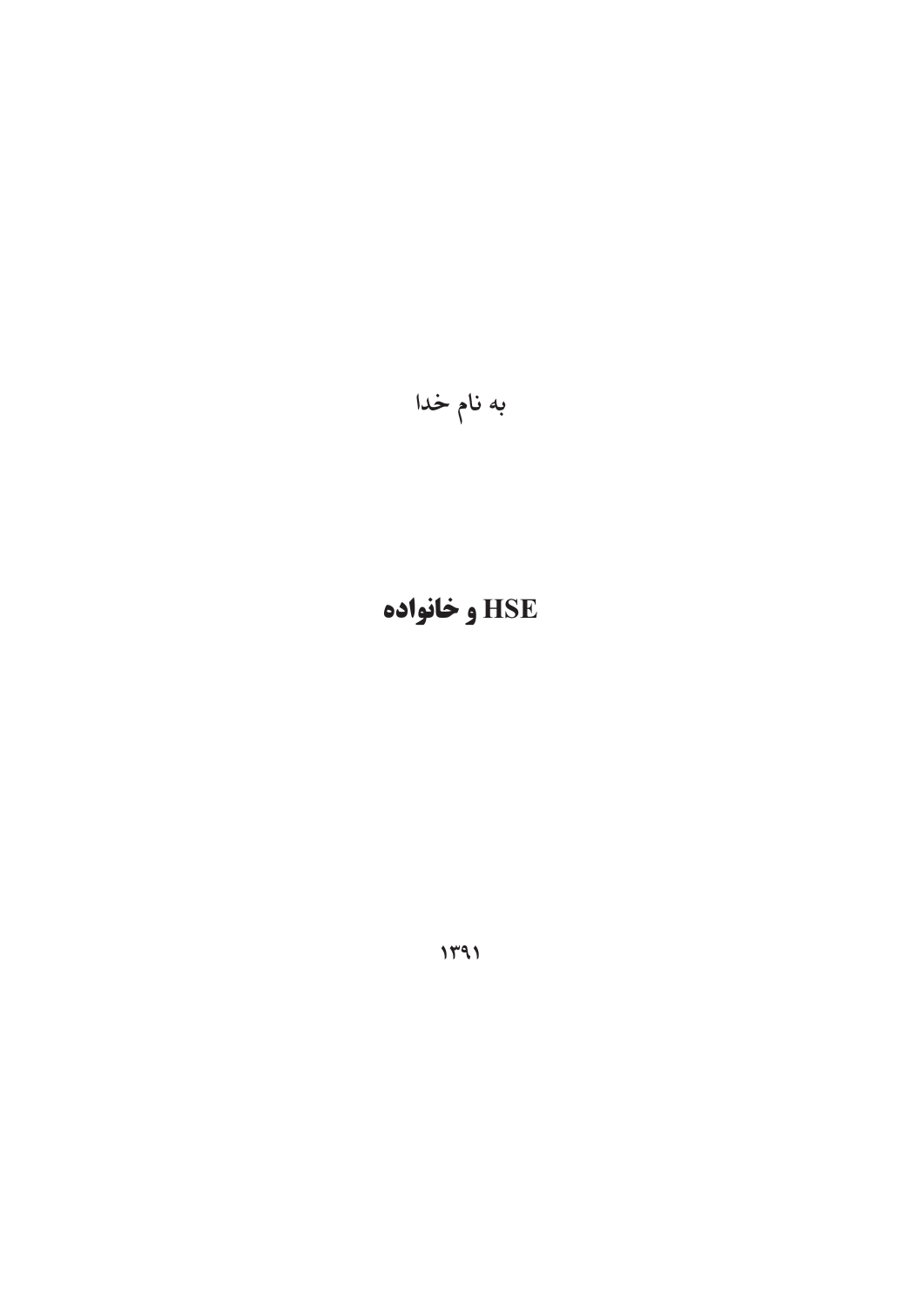به نام خدا

 $1141$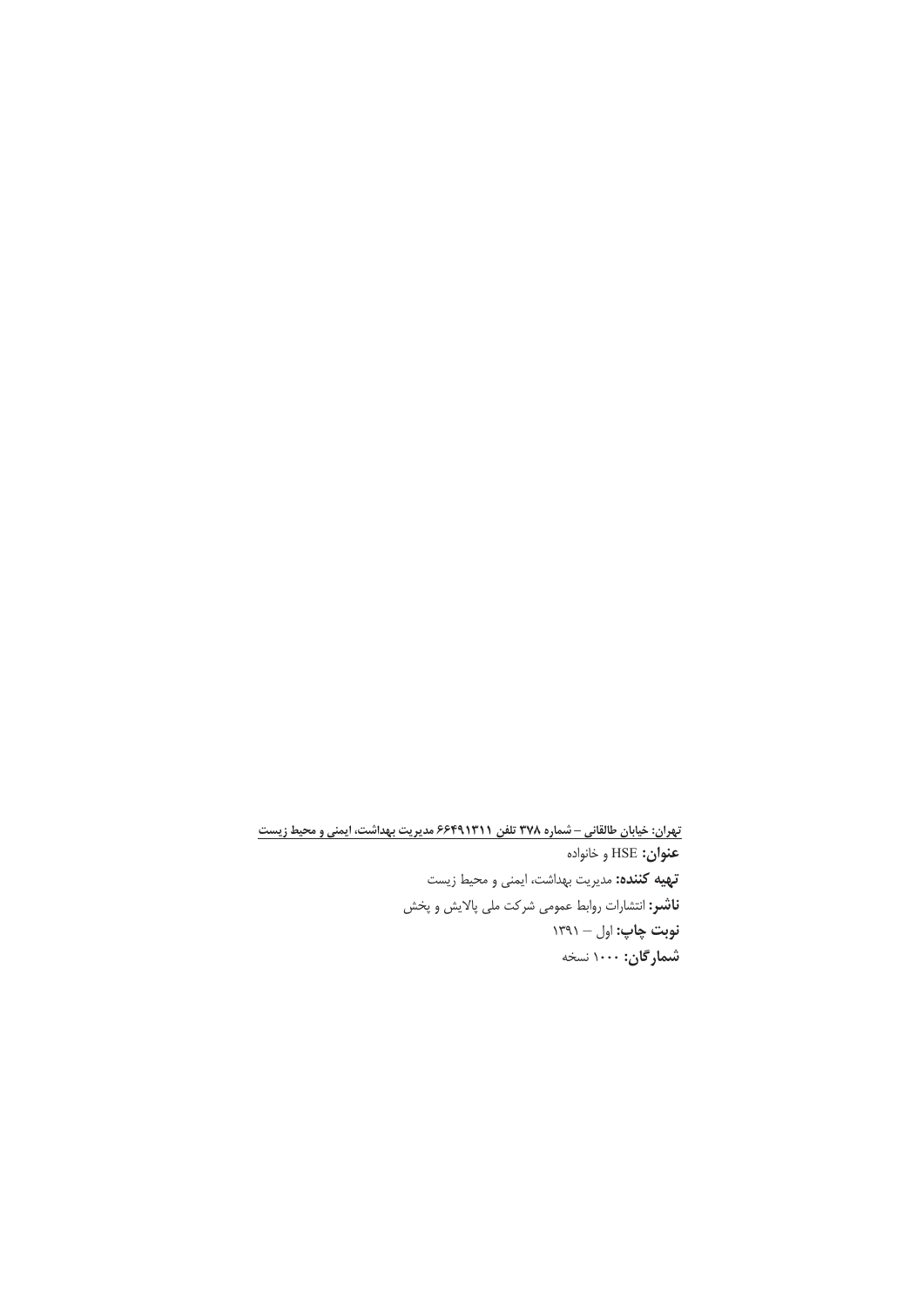<u>تهران: خیابان طالقانی – شماره ۳۷۸ تلفن ۶۶۴۹۱۳۱۱ مدیریت بهداشت، ایمنی و محیط زیست</u> **عنوان:** HSE و خانواده **تهیه کننده:** مدیریت بهداشت، ایمنی و محیط زیست **ناشر:** انتشارات روابط عمومی شرکت ملی پالایش و پخش **نوبت چاپ:** اول – ۱۳۹۱ **شمارگان:** ۱۰۰۰ نسخه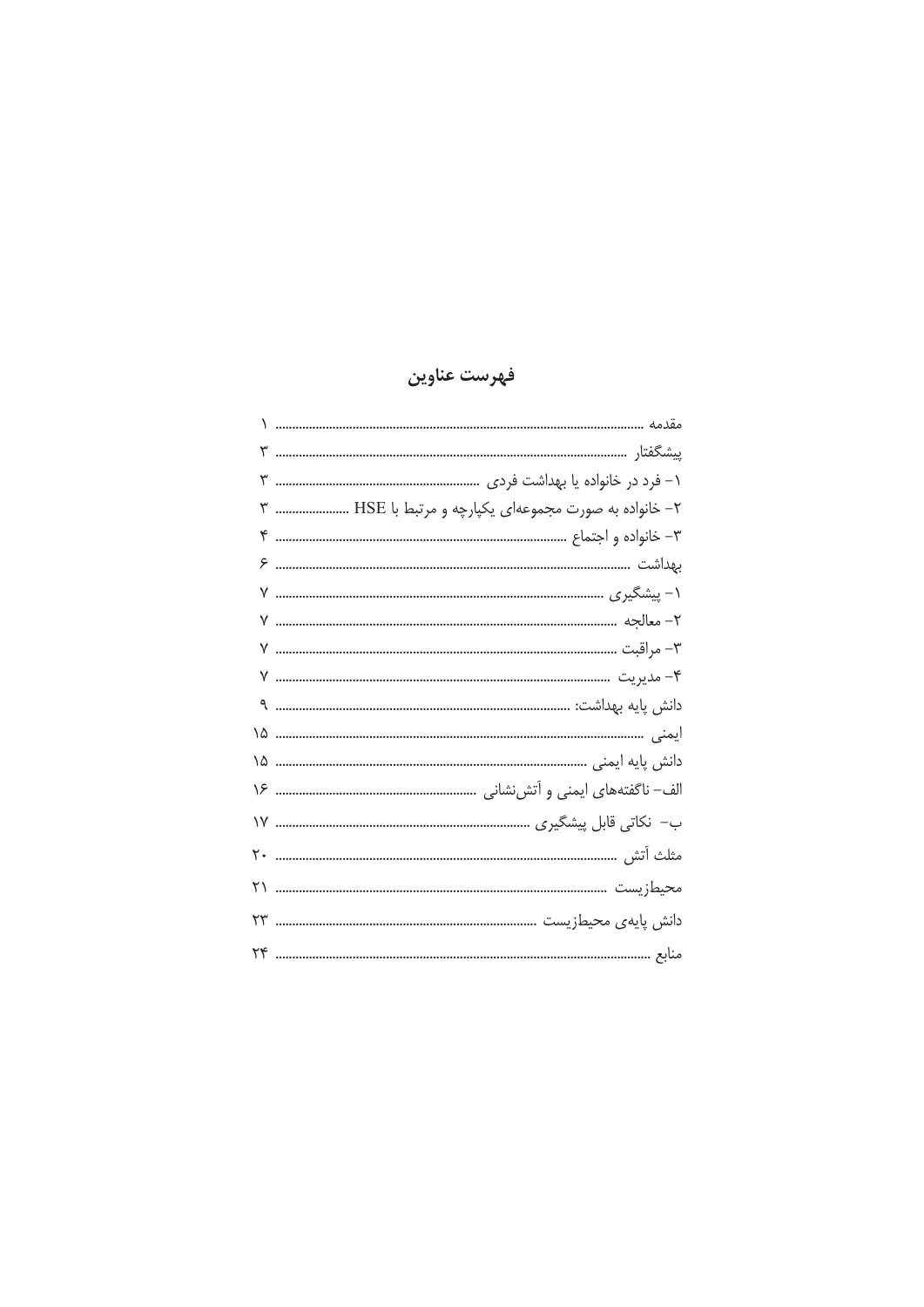# فهرست عناوين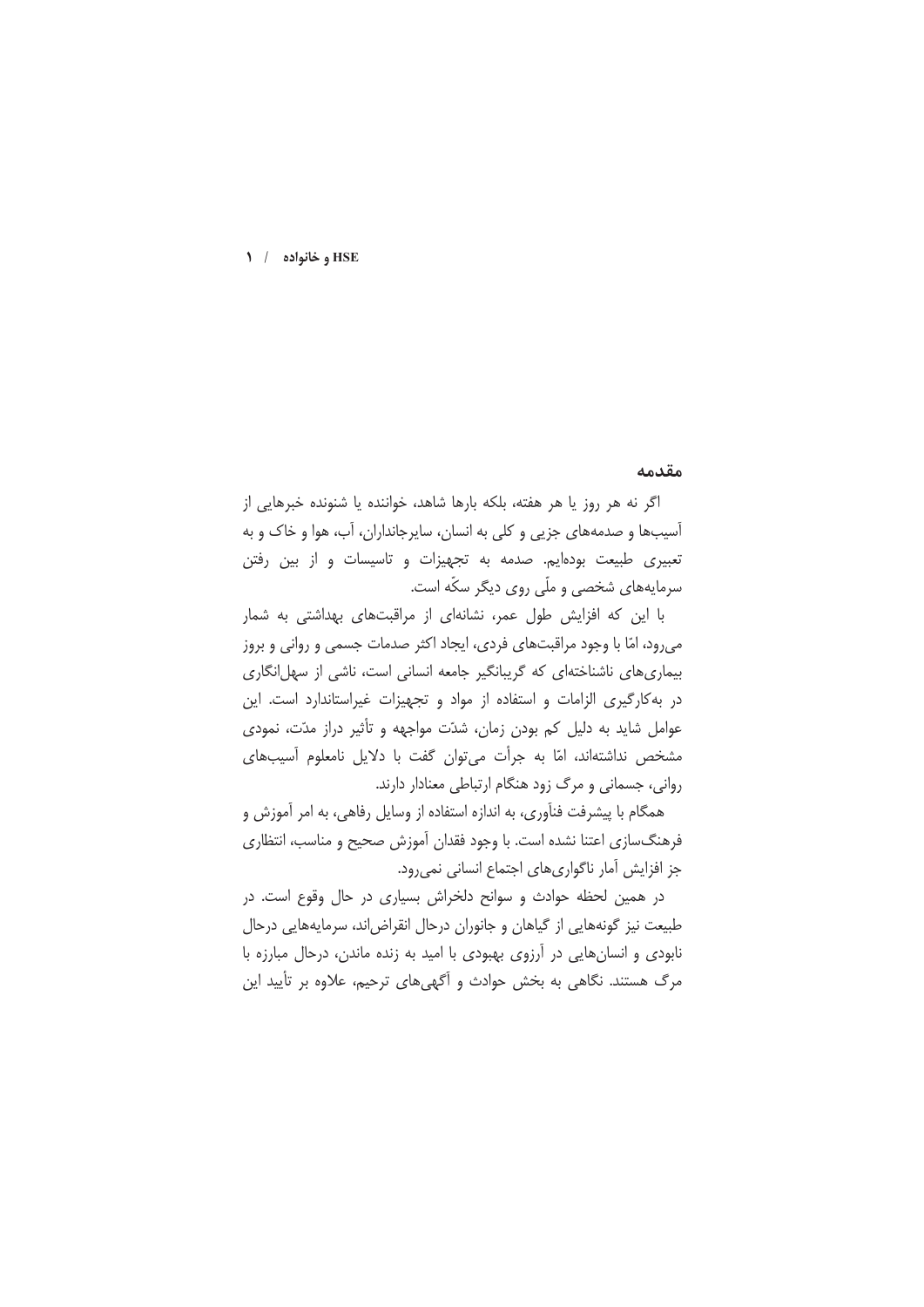#### مقدمه

اگر نه هر روز یا هر هفته، بلکه بارها شاهد، خواننده یا شنونده خبرهایی از آسیبها و صدمههای جزیی و کلی به انسان، سایرجانداران، آب، هوا و خاک و به تعبیری طبیعت بودهایم. صدمه به تجهیزات و تاسیسات و از بین رفتن سرمایههای شخصی و ملّی روی دیگر سکّه است.

با این که افزایش طول عمر، نشانهای از مراقبتهای بهداشتی به شمار میرود، امّا با وجود مراقبتهای فردی، ایجاد اکثر صدمات جسمی و روانی و بروز بیماری های ناشناختهای که گریبانگیر جامعه انسانی است، ناشی از سهل انگاری در به کارگیری الزامات و استفاده از مواد و تجهیزات غیراستاندارد است. این عوامل شاید به دلیل کم بودن زمان، شدّت مواجهه و تأثیر دراز مدّت، نمودی مشخص نداشتهاند، امّا به جرأت می توان گفت با دلایل نامعلوم آسیبهای روانی، جسمانی و مرگ زود هنگام ارتباطی معنادار دارند.

همگام با پیشرفت فنآوری، به اندازه استفاده از وسایل رفاهی، به امر آموزش و فرهنگسازی اعتنا نشده است. با وجود فقدان آموزش صحیح و مناسب، انتظاری جز افزایش آمار ناگواریهای اجتماع انسانی نمیرود.

در همین لحظه حوادث و سوانح دلخراش بسیاری در حال وقوع است. در طبیعت نیز گونههایی از گیاهان و جانوران درحال انقراض اند، سرمایههایی درحال نابودی و انسانهایی در آرزوی بهبودی با امید به زنده ماندن، درحال مبارزه با مرگ هستند. نگاهی به بخش حوادث و اَگهیهای ترحیم، علاوه بر تأیید این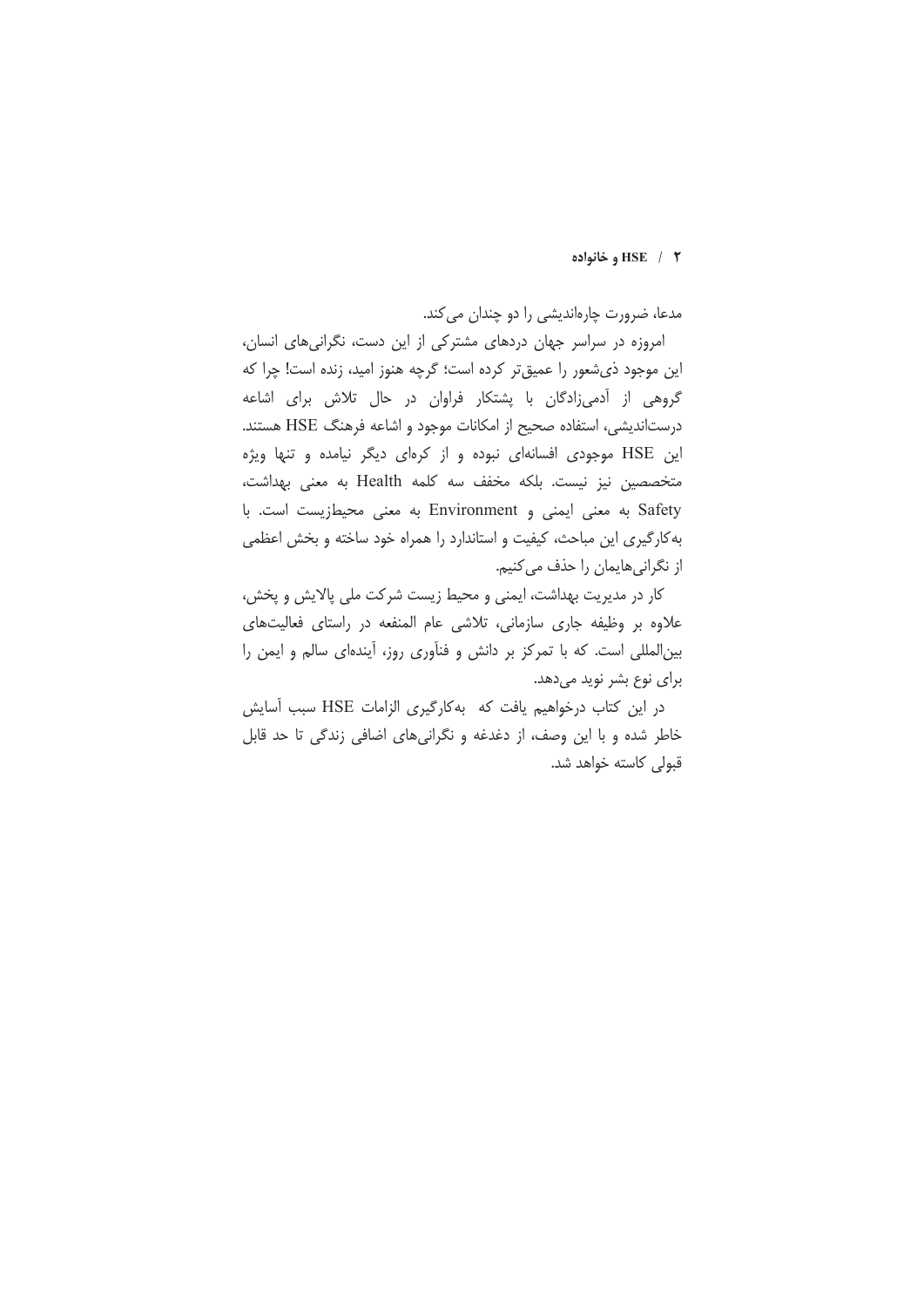#### HSE / ۲ و خانواده

مدعا، ضرورت چارهاندیشی را دو چندان می کند.

امروزه در سراسر جهان دردهای مشترکی از این دست، نگرانیهای انسان، این موجود ذیشعور را عمیق تر کرده است؛ گرچه هنوز امید، زنده است! چرا که گروهی از آدمیزادگان با پشتکار فراوان در حال تلاش برای اشاعه درستاندیشی، استفاده صحیح از امکانات موجود و اشاعه فرهنگ HSE هستند. این HSE موجودی افسانهای نبوده و از کرهای دیگر نیامده و تنها ویژه متخصصین نیز نیست. بلکه مخفف سه کلمه Health به معنی بهداشت، Safety به معنى ايمنى و Environment به معنى محيطزيست است. با به کارگیری این مباحث، کیفیت و استاندارد را همراه خود ساخته و بخش اعظمی از نگرانیهایمان را حذف می کنیم.

كار در مديريت بهداشت، ايمنى و محيط زيست شركت ملى پالايش و پخش، علاوه بر وظيفه جاري سازماني، تلاشى عام المنفعه در راستاى فعاليتهاى بین المللی است. که با تمرکز بر دانش و فنآوری روز، آیندهای سالم و ایمن را برای نوع بشر نوید میدهد.

در این کتاب درخواهیم یافت که بهکارگیری الزامات HSE سبب آسایش خاطر شده و با این وصف، از دغدغه و نگرانیهای اضافی زندگی تا حد قابل قبولی کاسته خواهد شد.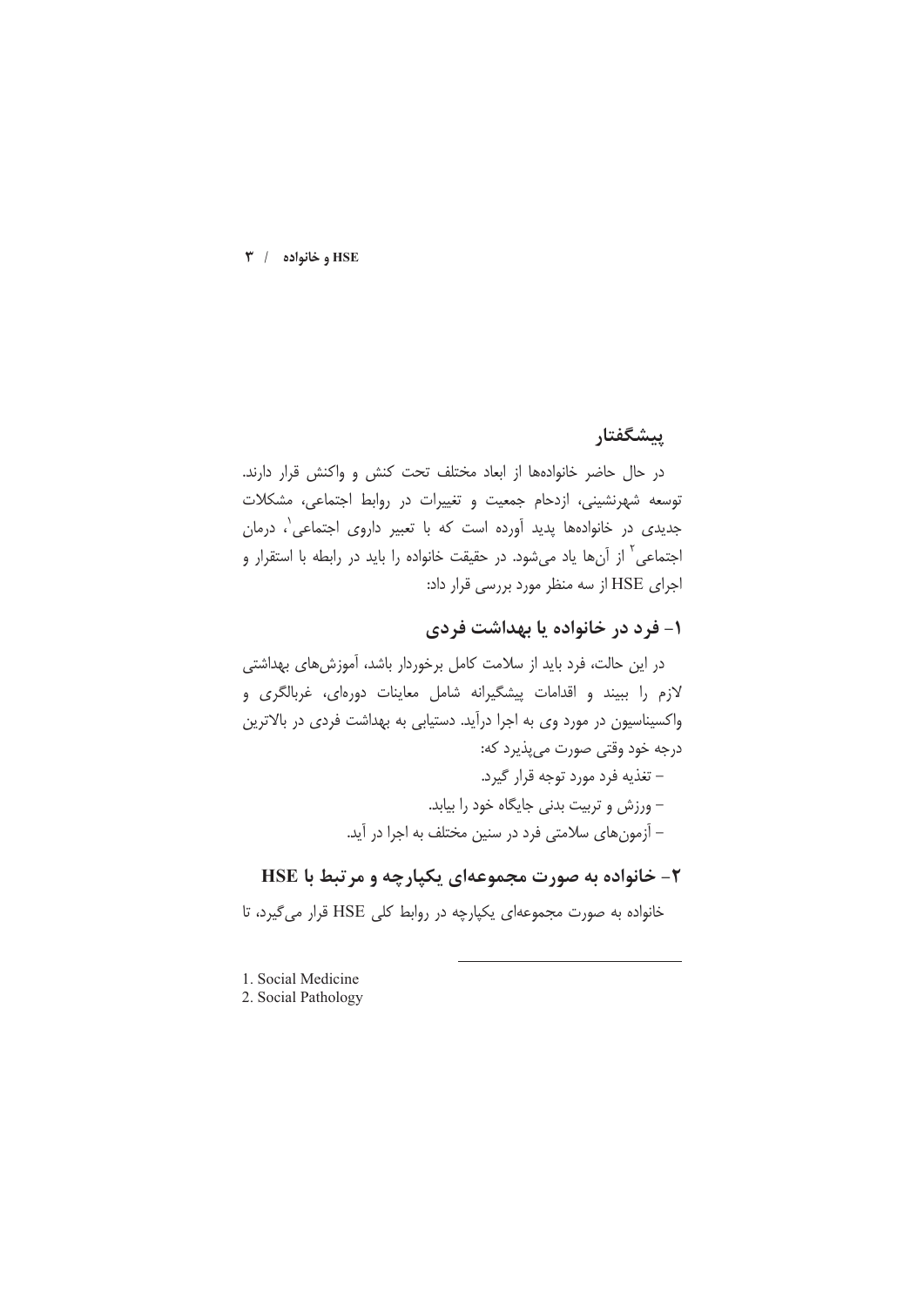$\mathbf{r}$  / مخانواده /  $\mathbf{HSE}$ 

### ييشگفتار

در حال حاضر خانوادهها از ابعاد مختلف تحت كنش و واكنش قرار دارند. توسعه شهرنشینی، ازدحام جمعیت و تغییرات در روابط اجتماعی، مشکلات جدیدی در خانوادهها پدید آورده است که با تعبیر داروی اجتماعی'، درمان اجتماعی<sup>۲</sup> از آنها یاد میشود. در حقیقت خانواده را باید در رابطه با استقرار و اجرای HSE از سه منظر مورد بررسی قرار داد:

# ۱- فرد در خانواده یا بهداشت فردی

# ۲- خانواده به صورت مجموعهای یکپارچه و مرتبط با HSE

خانواده به صورت مجموعهای یکپارچه در روابط کلی HSE قرار میگیرد، تا

<sup>1.</sup> Social Medicine

<sup>2.</sup> Social Pathology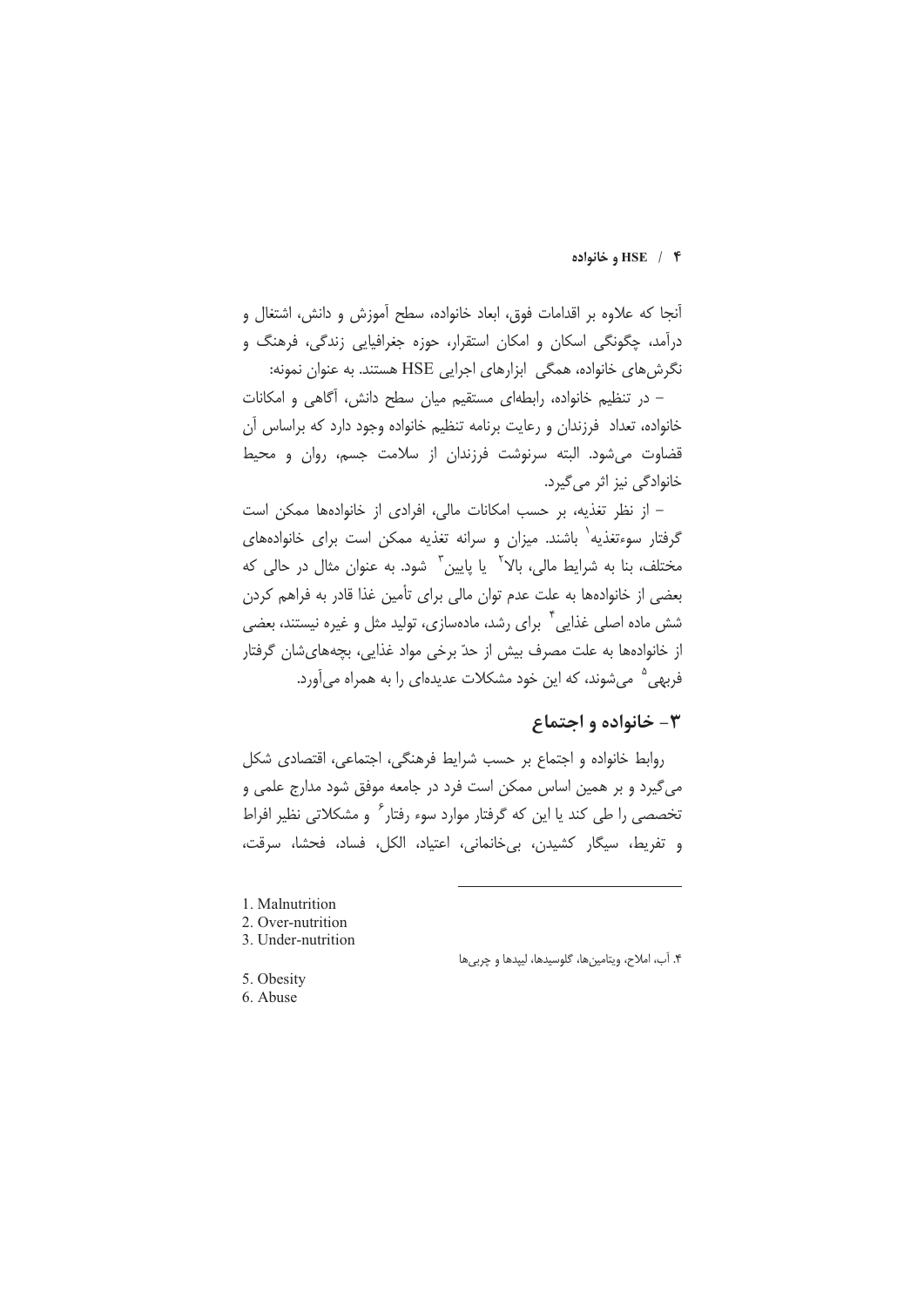#### HSE / ۴ و خانواده

آنجا که علاوه بر اقدامات فوق، ابعاد خانواده، سطح آموزش و دانش، اشتغال و درآمد، چگونگی اسکان و امکان استقرار، حوزه جغرافیایی زندگی، فرهنگ و نگرش های خانواده، همگی ابزارهای اجرایی HSE هستند. به عنوان نمونه:

- در تنظیم خانواده، رابطهای مستقیم میان سطح دانش، آگاهی و امکانات خانواده، تعداد فرزندان و رعایت برنامه تنظیم خانواده وجود دارد که براساس آن قضاوت می شود. البته سرنوشت فرزندان از سلامت جسم، روان و محیط خانوادگی نیز اثر می گیرد.

– از نظر تغذیه، بر حسب امکانات مالی، افرادی از خانوادهها ممکن است گرفتار سوءتغذیه` باشند. میزان و سرانه تغذیه ممکن است برای خانوادههای مختلف، بنا به شرایط مالی، بالا<sup>۲</sup> یا پایین<sup>۳</sup> شود. به عنوان مثال در حالی که بعضي از خانوادهها به علت عدم توان مالي براي تأمين غذا قادر به فراهم كردن شش ماده اصلی غذایی <sup>۴</sup> برای رشد، مادهسازی، تولید مثل و غیره نیستند، بعضی از خانوادهها به علت مصرف بیش از حدّ برخی مواد غذایی، بچههایشان گرفتار فربهی <sup>۵</sup> میشوند، که این خود مشکلات عدیدهای را به همراه میآورد.

# ۳- خانواده و اجتماع

روابط خانواده و اجتماع بر حسب شرایط فرهنگی، اجتماعی، اقتصادی شکل می گیرد و بر همین اساس ممکن است فرد در جامعه موفق شود مدارج علمی و تخصصی را طی کند یا این که گرفتار موارد سوء رفتار ٔ و مشکلاتی نظیر افراط و تفريط، سيگار كشيدن، بي خانماني، اعتياد، الكل، فساد، فحشا، سرقت،

- 1. Malnutrition
- 2. Over-nutrition
- 3. Under-nutrition

۴. آب، املاح، ويتامينها، گلوسيدها، ليپدها و چربيها

- 5. Obesity
- 6. Abuse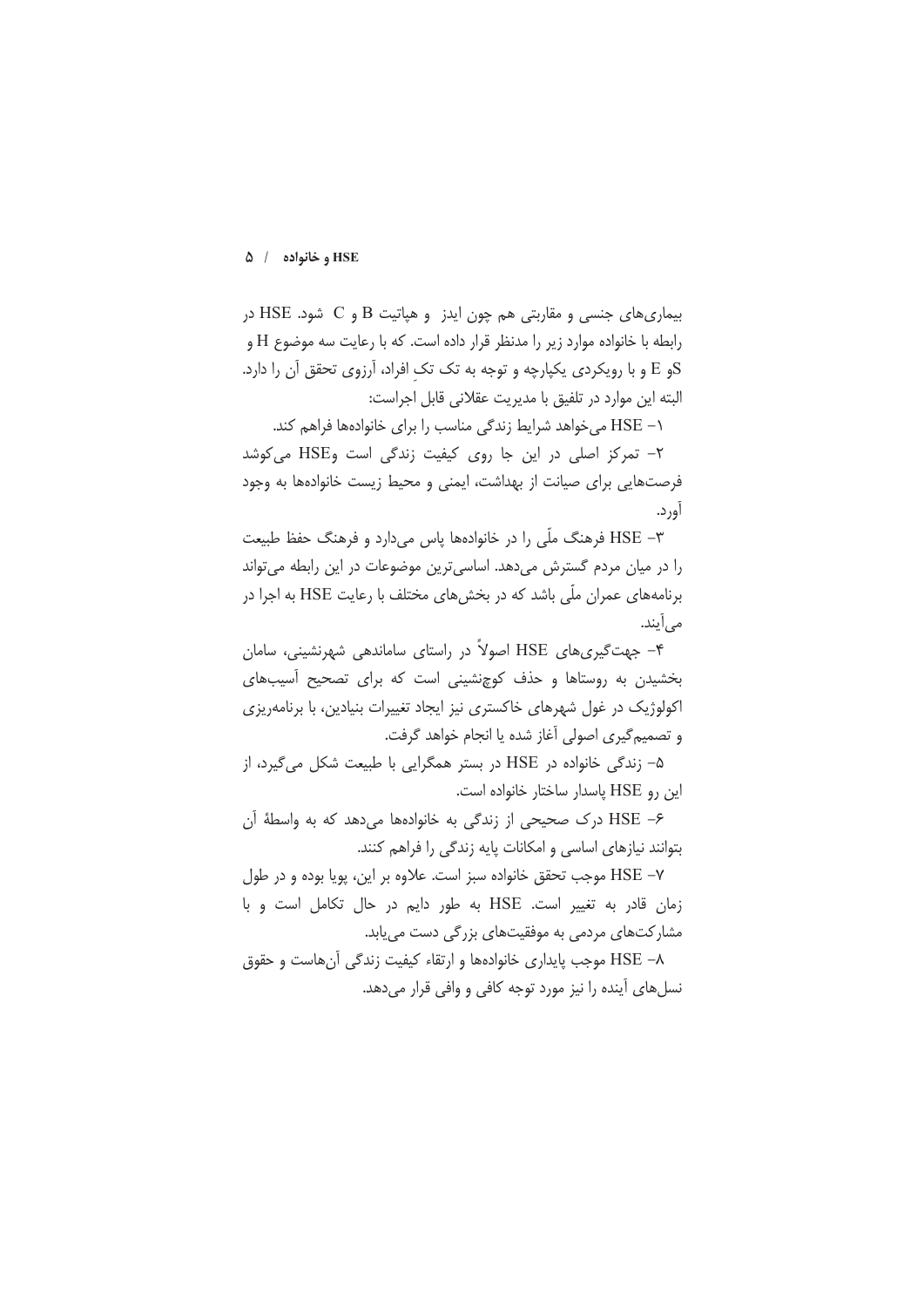بیماری های جنسی و مقاربتی هم چون ایدز و هیاتیت B و C شود. HSE در رابطه با خانواده موارد زیر را مدنظر قرار داده است. که با رعایت سه موضوع H و 5و E و با رویکردی یکپارچه و توجه به تک تک افراد، آرزوی تحقق آن را دارد. البته این موارد در تلفیق با مدیریت عقلانی قابل اجراست:

۱– HSE می خواهد شرایط زندگی مناسب را برای خانوادهها فراهم کند.

۲– تمرکز اصلی در این جا روی کیفیت زندگی است وHSE می کوشد فرصتهایی برای صیانت از بهداشت، ایمنی و محیط زیست خانوادهها به وجود آورد.

HSE –۳ فرهنگ ملّی را در خانوادهها پاس می دارد و فرهنگ حفظ طبیعت را در میان مردم گسترش میدهد. اساسیترین موضوعات در این رابطه می تواند برنامههای عمران ملّی باشد که در بخشهای مختلف با رعایت HSE به اجرا در مے ,اَپند.

۴– جهت گیری های HSE اصولاً در راستای ساماندهی شهرنشینی، سامان بخشیدن به روستاها و حذف کوچنشینی است که برای تصحیح آسیبهای اکولوژیک در غول شهرهای خاکستری نیز ایجاد تغییرات بنیادین، با برنامهریزی و تصمیم گیری اصولی آغاز شده یا انجام خواهد گرفت.

۵- زندگی خانواده در HSE در بستر همگرایی با طبیعت شکل میگیرد، از این رو HSE پاسدار ساختار خانواده است.

۶– HSE درک صحیحی از زندگی به خانوادهها می دهد که به واسطهٔ آن بتوانند نیازهای اساسی و امکانات پایه زندگی را فراهم کنند.

HSE -Y موجب تحقق خانواده سبز است. علاوه بر این، پویا بوده و در طول زمان قادر به تغییر است. HSE به طور دایم در حال تکامل است و با مشارکتهای مردمی به موفقیتهای بزرگی دست می یابد.

HSE →۸ موجب پایداری خانوادهها و ارتقاء کیفیت زندگی آنهاست و حقوق نسل های آینده را نیز مورد توجه کافی و وافی قرار می دهد.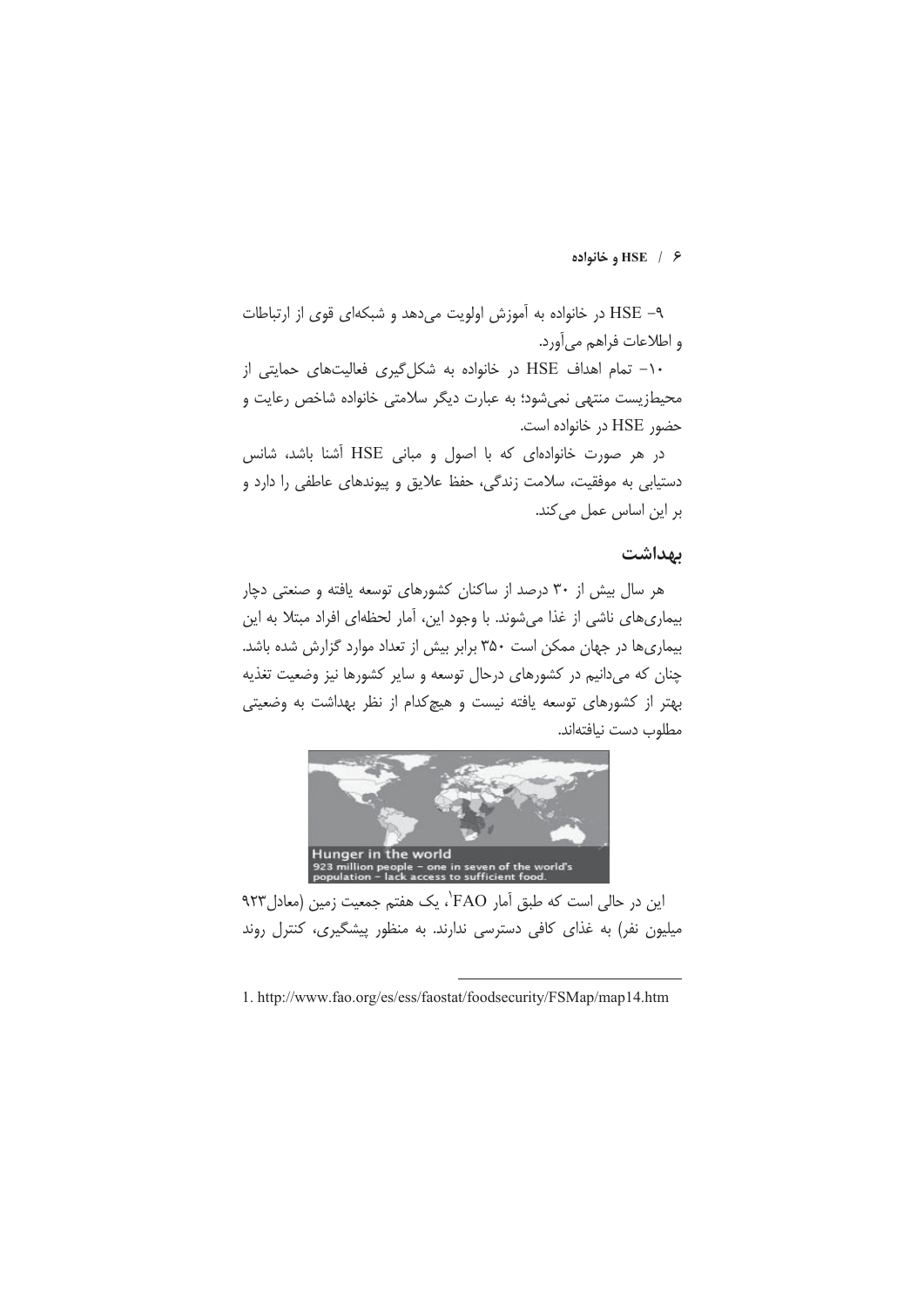### $HSE / 8$  وخانواده

۹- HSE در خانواده به آموزش اولویت می دهد و شبکهای قوی از ارتباطات و اطلاعات فراهم می آورد.

-۱- تمام اهداف HSE در خانواده به شکل گیری فعالیتهای حمایتی از محیطزیست منتهی نمیشود؛ به عبارت دیگر سلامتی خانواده شاخص رعایت و حضور HSE در خانواده است.

در هر صورت خانوادهای که با اصول و مبانی HSE آشنا باشد، شانس دستیابی به موفقیت، سلامت زندگی، حفظ علایق و پیوندهای عاطفی را دارد و بر این اساس عمل می کند.

# بهداشت

هر سال بیش از ۳۰ درصد از ساکنان کشورهای توسعه یافته و صنعتی دچار بیماری های ناشی از غذا می شوند. با وجود این، آمار لحظهای افراد مبتلا به این بیماری ها در جهان ممکن است ۳۵۰ برابر بیش از تعداد موارد گزارش شده باشد. چنان که می دانیم در کشورهای درحال توسعه و سایر کشورها نیز وضعیت تغذیه بهتر از کشورهای توسعه یافته نیست و هیچکدام از نظر بهداشت به وضعیتی مطلوب دست نيافتهاند.



این در حالی است که طبق آمار FAO'، یک هفتم جمعیت زمین (معادل ۹۲۳ میلیون نفر) به غذای کافی دسترسی ندارند. به منظور پیشگیری، کنترل روند

<sup>1.</sup> http://www.fao.org/es/ess/faostat/foodsecurity/FSMap/map14.htm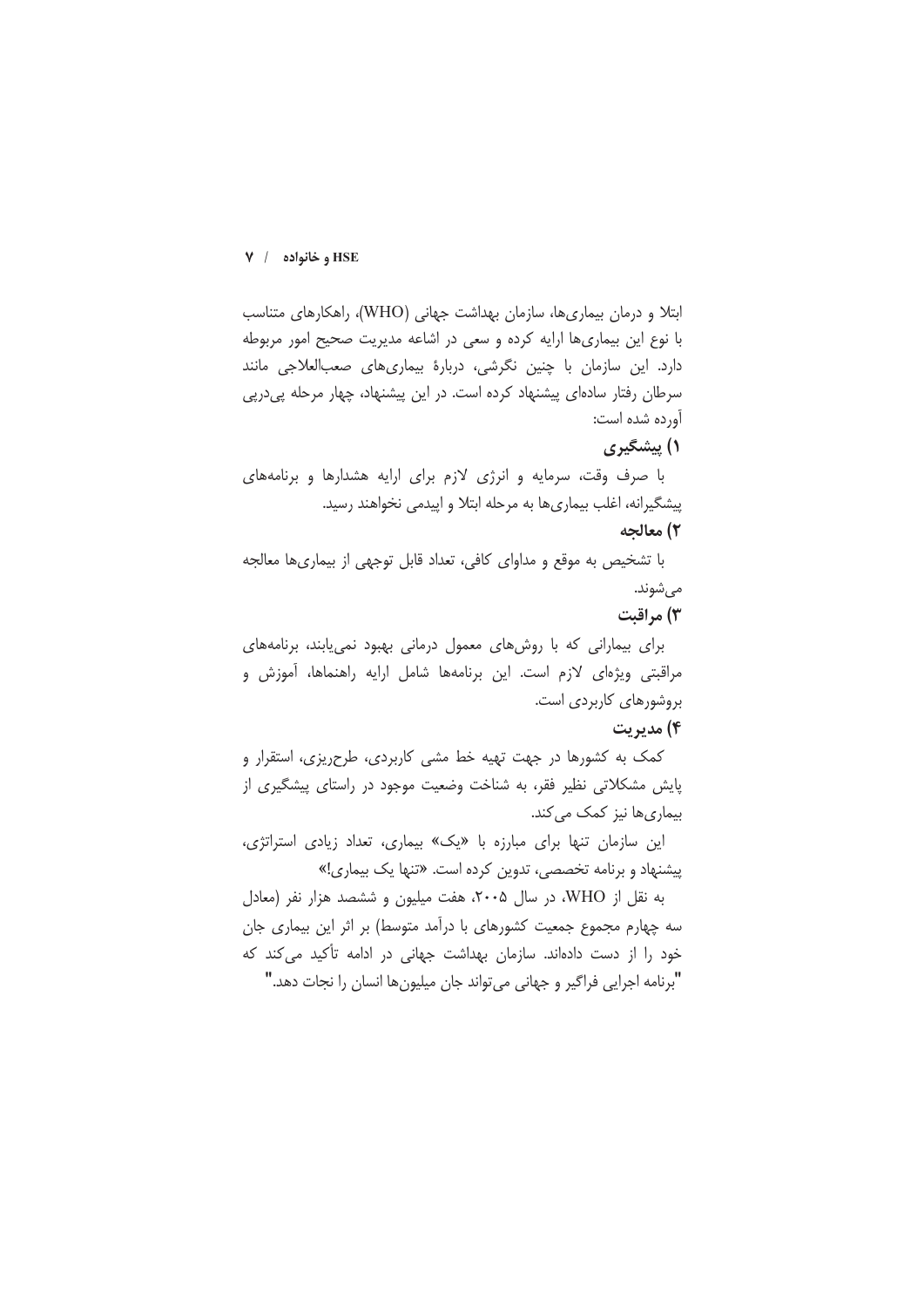ابتلا و درمان بیماریها، سازمان بهداشت جهانی (WHO)، راهکارهای متناسب با نوع این بیماری ها ارایه کرده و سعی در اشاعه مدیریت صحیح امور مربوطه دارد. این سازمان با چنین نگرشی، دربارهٔ بیماریهای صعبالعلاجی مانند سرطان رفتار سادهای پیشنهاد کرده است. در این پیشنهاد، چهار مرحله پیدرپی آورده شده است:

### ۱) پیشگیری

با صرف وقت، سرمایه و انرژی لازم برای ارایه هشدارها و برنامههای پیشگیرانه، اغلب بیماریها به مرحله ابتلا و اپیدمی نخواهند رسید.

### ۲) معالجه

با تشخیص به موقع و مداوای کافی، تعداد قابل توجهی از بیماریها معالجه مى شوند.

### ۳) مراقبت

برای بیمارانی که با روشهای معمول درمانی بهبود نمی یابند، برنامههای مراقبتی ویژهای لازم است. این برنامهها شامل ارایه راهنماها، آموزش و بروشورهای کاربردی است.

#### ۴) مديريت

کمک به کشورها در جهت تهیه خط مشی کاربردی، طرحریزی، استقرار و پایش مشکلاتی نظیر فقر، به شناخت وضعیت موجود در راستای پیشگیری از بیماری ها نیز کمک می کند.

این سازمان تنها برای مبارزه با «یک» بیماری، تعداد زیادی استراتژی، پیشنهاد و برنامه تخصصی، تدوین کرده است. «تنها یک بیماری!»

به نقل از WHO، در سال ۲۰۰۵، هفت میلیون و ششصد هزار نفر (معادل سه چهارم مجموع جمعیت کشورهای با درآمد متوسط) بر اثر این بیماری جان خود را از دست دادهاند. سازمان بهداشت جهانی در ادامه تأکید می کند که "برنامه اجرایی فراگیر و جهانی می تواند جان میلیون ها انسان را نجات دهد."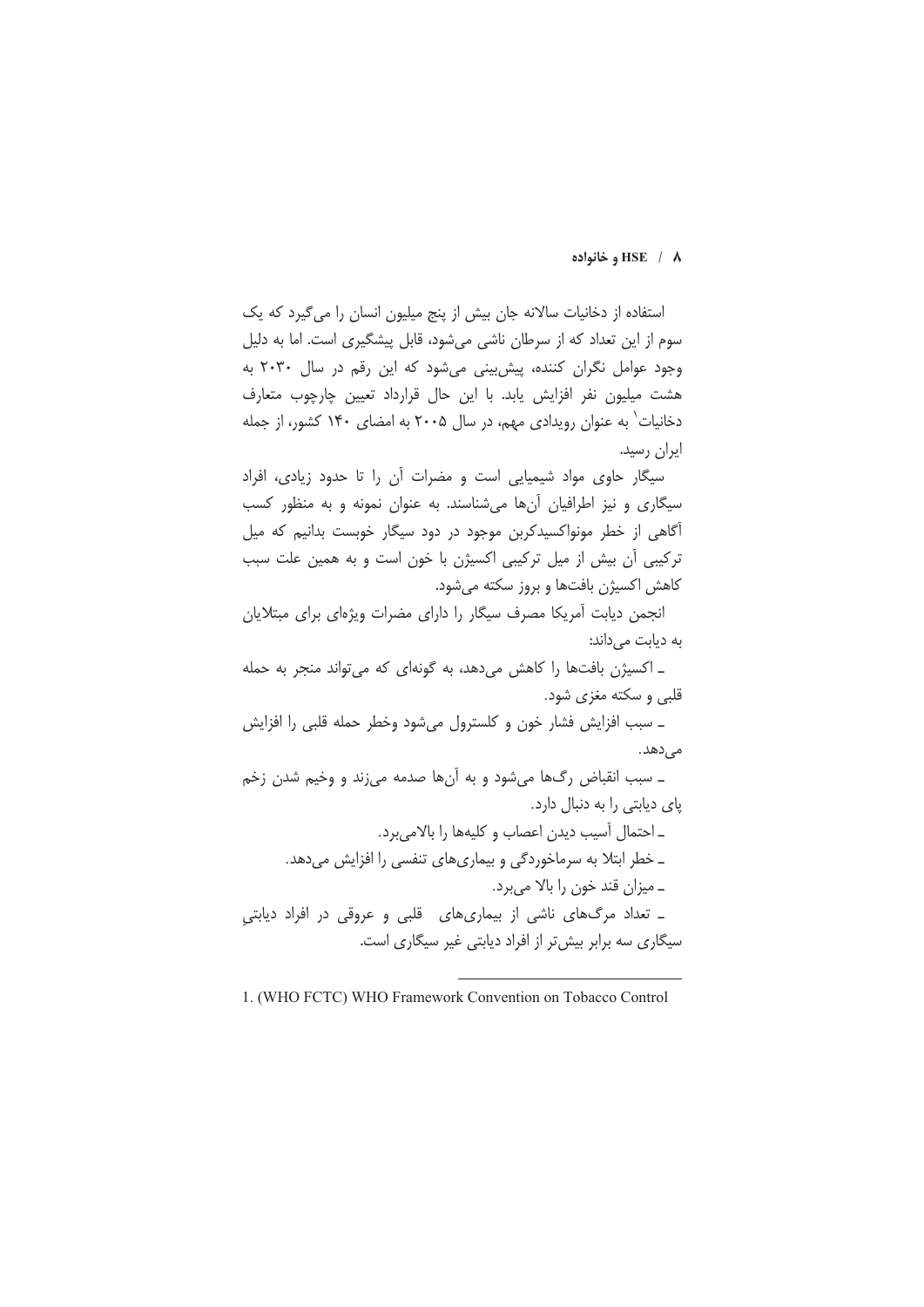#### **,# HSE / 8**

استفاده از دخانیات سالانه جان پیش از بنج میلیون انسان را مرگیرد که یک سوم از این تعداد که از سرطان ناشی میشود، قابل بیشگیری است. اما به دلیا<br>. .<br>وجود عوامل نگران کننده، پیشبینی میشود که این رقم در سال ۲۰۳۰ به .<br>هشت میلیون نفر افزایش یابد. با این حال قرارداد تعیین چارچوب متعارف دخانیات به عنوان رویدادی مهم، در سال ۲۰۰۵ به امضای ۱۴۰ کشور، از جمله ایران رسید.

.<br>سبگار جاوی مواد شیمیایی است و مضرات آن را تا جدود زبادی، افراد سیگاری و نیز اطرافیان آنها می شناسند. به عنوان نمونه و به منظور کسب .<br>اگاهی از خطر مونواکسیدکاین موجود در دود سیگار خوبس*ت* بدانیم که میا .<br>تركيبي أن يبش إز مثل تركيبي إكست<del>ن</del> با خون اس*ت* و به همين عل*ت* سب .<br>کاهش اکستن بافتها و بروز سکته مرشود.

.<br>نحمن دبابت أمريكا مصرف سيگار را داراي مضرات ويژهاي براي ميتلايان به دبابت می داند:

.<br>ـ اکستن پافتها را کاهش م دهد، به گونهای که مرتواند منحر به حمله قلبي و سکته مغزي شود.

ـ سبب افزايش فشار خون و كلسترول مىشود وخطر حمله قلبى را افزايش مے ،ٍدھد.

ـ سبب انقباض رگ&ا می شود و به آنها صدمه می;ند و وخیم شدن زخم یای دیابتی را به دنبال دارد.

ـ احتمال آسيب ديدن اعصاب و كليهها را بالامىبرد. ـ خطر ابتلا به سرماخوردگی و بیماریهای تنفسی را افزایش میدهد. ـ ميزان قند خون را بالا مىبرد. ـ تعداد مرگهای ناشی از بیماریهای قلبی و عروقی در افراد دیابتی .<br>سبگاری سه برایریش تر از افراد دبایتی غیر سبگاری است.

 <sup>1. (</sup>WHO FCTC) WHO Framework Convention on Tobacco Control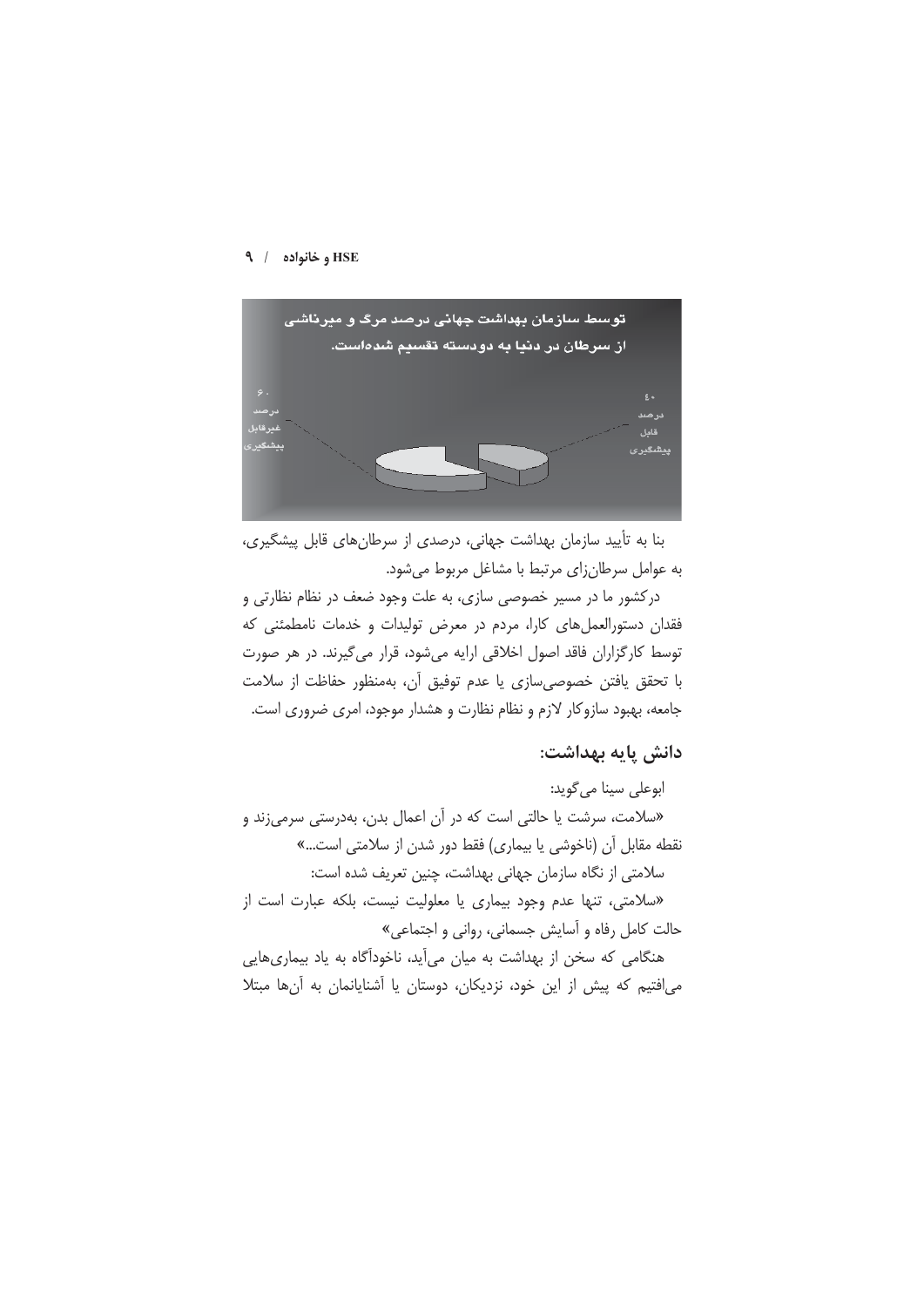

بنا به تأیید سازمان بهداشت جهانی، درصدی از سرطانهای قابل پیشگیری، به عوامل سرطان زای مرتبط با مشاغل مربوط می شود.

درکشور ما در مسیر خصوصی سازی، به علت وجود ضعف در نظام نظارتی و فقدان دستورالعمل های کارا، مردم در معرض تولیدات و خدمات نامطمئنی که توسط کارگزاران فاقد اصول اخلاقی ارایه میشود، قرار میگیرند. در هر صورت با تحقق يافتن خصوصىسازى يا عدم توفيق آن، بهمنظور حفاظت از سلامت جامعه، بهبود سازوکار لازم و نظام نظارت و هشدار موجود، امری ضروری است.

# دانش یایه بهداشت:

ابوعلي سينا مي گويد: «سلامت، سرشت یا حالتی است که در آن اعمال بدن، بهدرستی سرمیزند و نقطه مقابل آن (ناخوشی یا بیماری) فقط دور شدن از سلامتی است...» سلامتی از نگاه سازمان جهانی بهداشت، چنین تعریف شده است:

«سلامتی، تنها عدم وجود بیماری یا معلولیت نیست، بلکه عبارت است از حالت كامل رفاه و آسايش جسماني، رواني و اجتماعي»

هنگامی که سخن از بهداشت به میان میآید، ناخودآگاه به یاد بیماریهایی میافتیم که پیش از این خود، نزدیکان، دوستان یا آشنایانمان به آنها مبتلا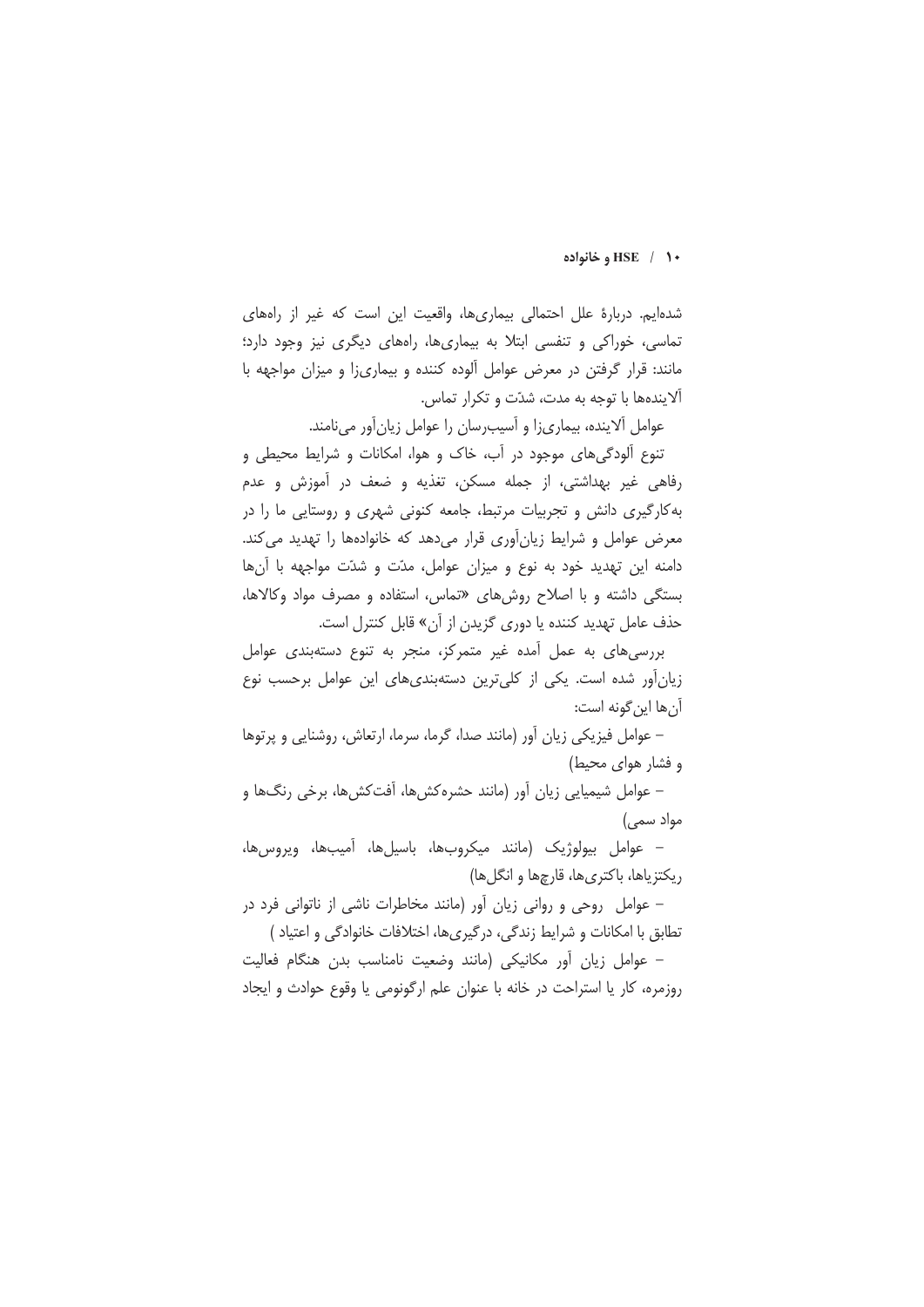#### **+ 1** / HSE وخانواده

شدهایم. دربارهٔ علل احتمالی بیماریها، واقعیت این است که غیر از راههای تماسی، خوراکی و تنفسی ابتلا به بیماریها، راههای دیگری نیز وجود دارد؛ مانند: قرار گرفتن در معرض عوامل آلوده کننده و بیماریزا و میزان مواجهه با آلایندهها با توجه به مدت، شدّت و تکرار تماس.

عوامل آلاینده، بیماری زا و آسیب رسان را عوامل زیان آور می نامند.

تنوع آلودگی های موجود در آب، خاک و هوا، امکانات و شرایط محیطی و رفاهي غير بهداشتي، از جمله مسكن، تغذيه و ضعف در آموزش و عدم به کارگیری دانش و تجربیات مرتبط، جامعه کنونی شهری و روستایی ما را در معرض عوامل و شرایط زیانآوری قرار میدهد که خانوادهها را تهدید می کند. دامنه این تهدید خود به نوع و میزان عوامل، مدّت و شدّت مواجهه با آنها بستگی داشته و با اصلاح روش های «تماس، استفاده و مصرف مواد وکالاها، حذف عامل تهديد كننده يا دورى گزيدن از آن» قابل كنترل است.

بررسی های به عمل آمده غیر متمرکز، منجر به تنوع دستهبندی عوامل زیانآور شده است. یکی از کلیترین دستهبندی های این عوامل برحسب نوع آن ها این گونه است:

– عوامل فیزیکی زیان آور (مانند صدا، گرما، سرما، ارتعاش، روشنایی و پرتوها و فشار هوای محیط)

– عوامل شیمیایی زیان آور (مانند حشره کش ها، آفت کش ها، برخی رنگ ها و مواد سمی)

- عوامل بيولوژيک (مانند ميکروبها، باسيلها، آميبها، ويروس،ها، ريكتزياها، باكترىها، قارچها و انگلها)

- عوامل روحی و روانی زیان آور (مانند مخاطرات ناشی از ناتوانی فرد در تطابق با امکانات و شرایط زندگی، درگیریها، اختلافات خانوادگی و اعتیاد )

– عوامل زیان آور مکانیکی (مانند وضعیت نامناسب بدن هنگام فعالیت روزمره، كار يا استراحت در خانه با عنوان علم ارگونومي يا وقوع حوادث و ايجاد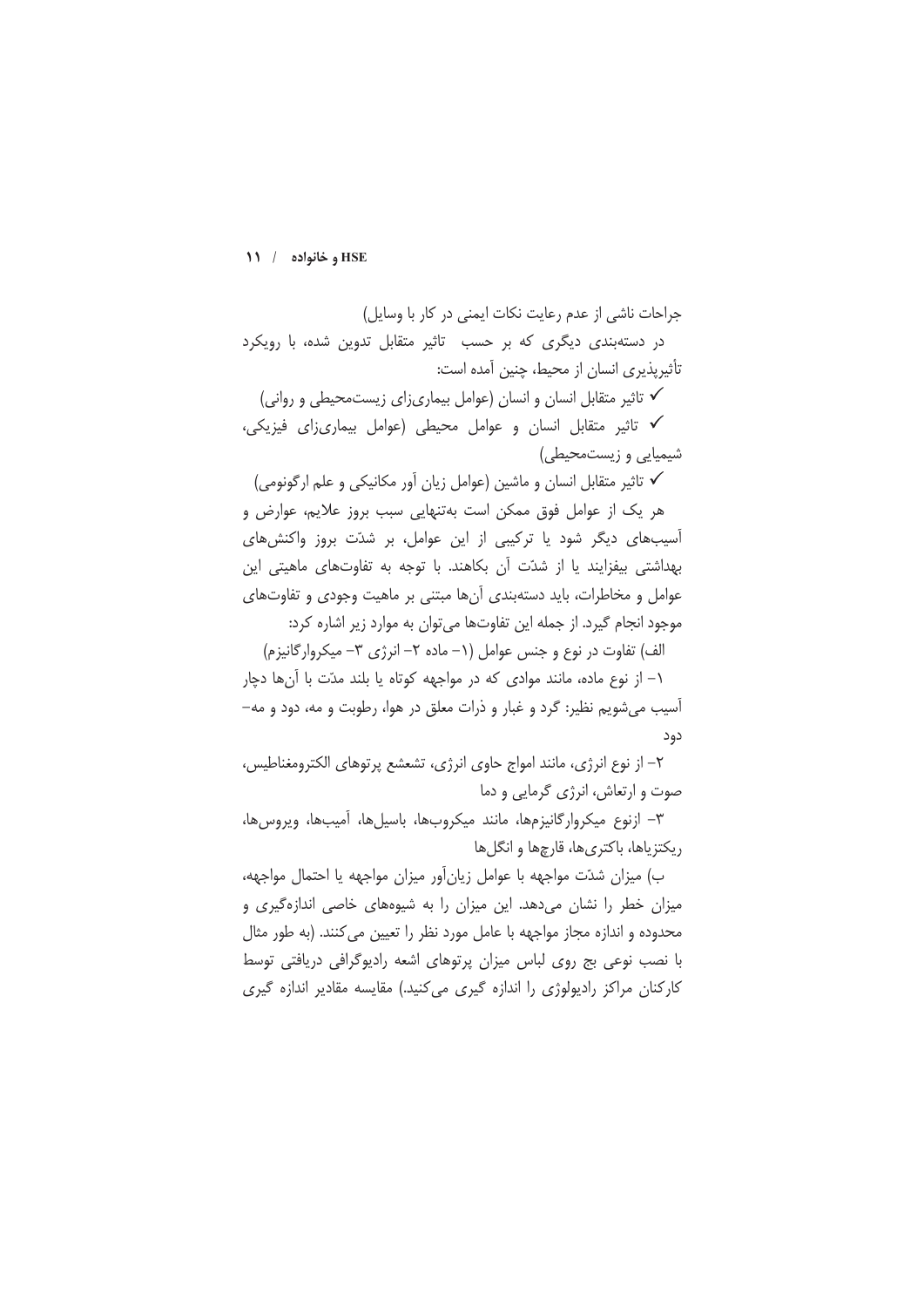جراحات ناشی از عدم رعایت نکات ایمنی در کار با وسایل) در دستهبندی دیگری که بر حسب تاثیر متقابل تدوین شده، با رویکرد تأثیریذیری انسان از محیط، چنین آمده است:

√ تاثیر متقابل انسان و انسان (عوامل بیماریزای زیستمحیطی و روانی) √ تاثیر متقابل انسان و عوامل محیطی (عوامل بیماریزای فیزیکی، شیمیایی و زیستمحیطی)

✔ تاثیر متقابل انسان و ماشین (عوامل زیان آور مکانیکی و علم ارگونومی)

هر یک از عوامل فوق ممکن است بهتنهایی سبب بروز علایم، عوارض و آسیبهای دیگر شود یا ترکیبی از این عوامل، بر شدّت بروز واکنشهای بهداشتی بیفزایند یا از شدّت آن بکاهند. با توجه به تفاوتهای ماهیتی این عوامل و مخاطرات، باید دستهبندی آنها مبتنی بر ماهیت وجودی و تفاوتهای موجود انجام گیرد. از جمله این تفاوتها می توان به موارد زیر اشاره کرد:

الف) تفاوت در نوع و جنس عوامل (١- ماده ٢- انرژی ٣- میکروارگانیزم)

١- از نوع ماده، مانند موادي كه در مواجهه كوتاه يا بلند مدّت با آنها دچار آسيب مي شويم نظير: گرد و غبار و ذرات معلق در هوا، رطوبت و مه، دود و مه-دود

٢- از نوع انرژى، مانند امواج حاوى انرژى، تشعشع پرتوهاى الكترومغناطيس، صوت و ارتعاش، انرژی گرمایی و دما

٣– ازنوع ميكروارگانيزمها، مانند ميكروبها، باسيلها، آميبها، ويروسها، ریکتزیاها، باکتریها، قارچها و انگلها

ب) میزان شدّت مواجهه با عوامل زیان[ور میزان مواجهه یا احتمال مواجهه، میزان خطر را نشان میدهد. این میزان را به شیوههای خاصی اندازهگیری و محدوده و اندازه مجاز مواجهه با عامل مورد نظر را تعیین می کنند. (به طور مثال با نصب نوعی بج روی لباس میزان پرتوهای اشعه رادیوگرافی دریافتی توسط کارکنان مراکز رادیولوژی را اندازه گیری می کنید.) مقایسه مقادیر اندازه گیری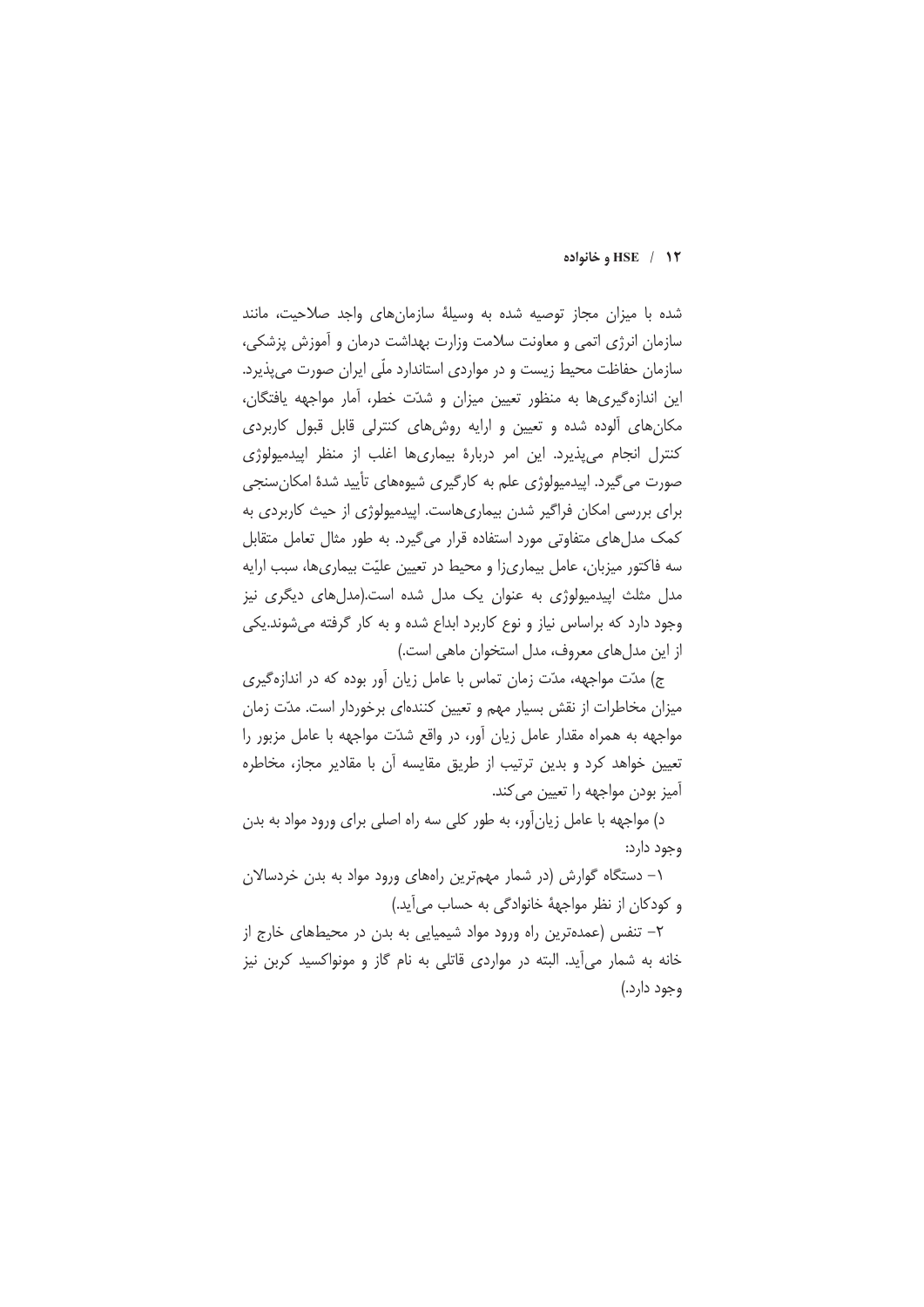#### **HSE** / 1٢ وخانواده

شده با میزان مجاز توصیه شده به وسیلهٔ سازمانهای واجد صلاحیت، مانند سازمان انرژی اتمی و معاونت سلامت وزارت بهداشت درمان و آموزش پزشکی، سازمان حفاظت محیط زیست و در مواردی استاندارد ملّی ایران صورت می پذیرد. این اندازهگیریها به منظور تعیین میزان و شدّت خطر، آمار مواجهه یافتگان، مکان های آلوده شده و تعیین و ارایه روش های کنترلی قابل قبول کاربردی کنترل انجام می پذیرد. این امر دربارهٔ بیماریها اغلب از منظر ایپدمیولوژی صورت می گیرد. ایپدمیولوژی علم به کارگیری شیوههای تأیید شدهٔ امکان سنجی برای بررسی امکان فراگیر شدن بیماریهاست. اپیدمیولوژی از حیث کاربردی به کمک مدل های متفاوتی مورد استفاده قرار می گیرد. به طور مثال تعامل متقابل سه فاکتور میزبان، عامل بیماریزا و محیط در تعیین علیّت بیماریها، سبب ارایه مدل مثلث اییدمیولوژی به عنوان یک مدل شده است.(مدلهای دیگری نیز وجود دارد که براساس نیاز و نوع کاربرد ابداع شده و به کار گرفته می شوند.یکی از این مدل های معروف، مدل استخوان ماهی است.)

ج) مدّت مواجهه، مدّت زمان تماس با عامل زیان آور بوده که در اندازهگیری میزان مخاطرات از نقش بسیار مهم و تعیین کنندهای برخوردار است. مدّت زمان مواجهه به همراه مقدار عامل زيان آور، در واقع شدّت مواجهه با عامل مزبور را تعیین خواهد کرد و بدین ترتیب از طریق مقایسه آن با مقادیر مجاز، مخاطره آمیز بودن مواجهه را تعیین می کند.

د) مواجهه با عامل زیان آور، به طور کلی سه راه اصلی برای ورود مواد به بدن وجود دارد:

۱– دستگاه گوارش (در شمار مهمترین راههای ورود مواد به بدن خردسالان و کودکان از نظر مواجههٔ خانوادگی به حساب میآید.)

٢- تنفس (عمدهترين راه ورود مواد شيميايي به بدن در محيطهاي خارج از خانه به شمار می آید. البته در مواردی قاتلی به نام گاز و مونواکسید کربن نیز وجود دارد.)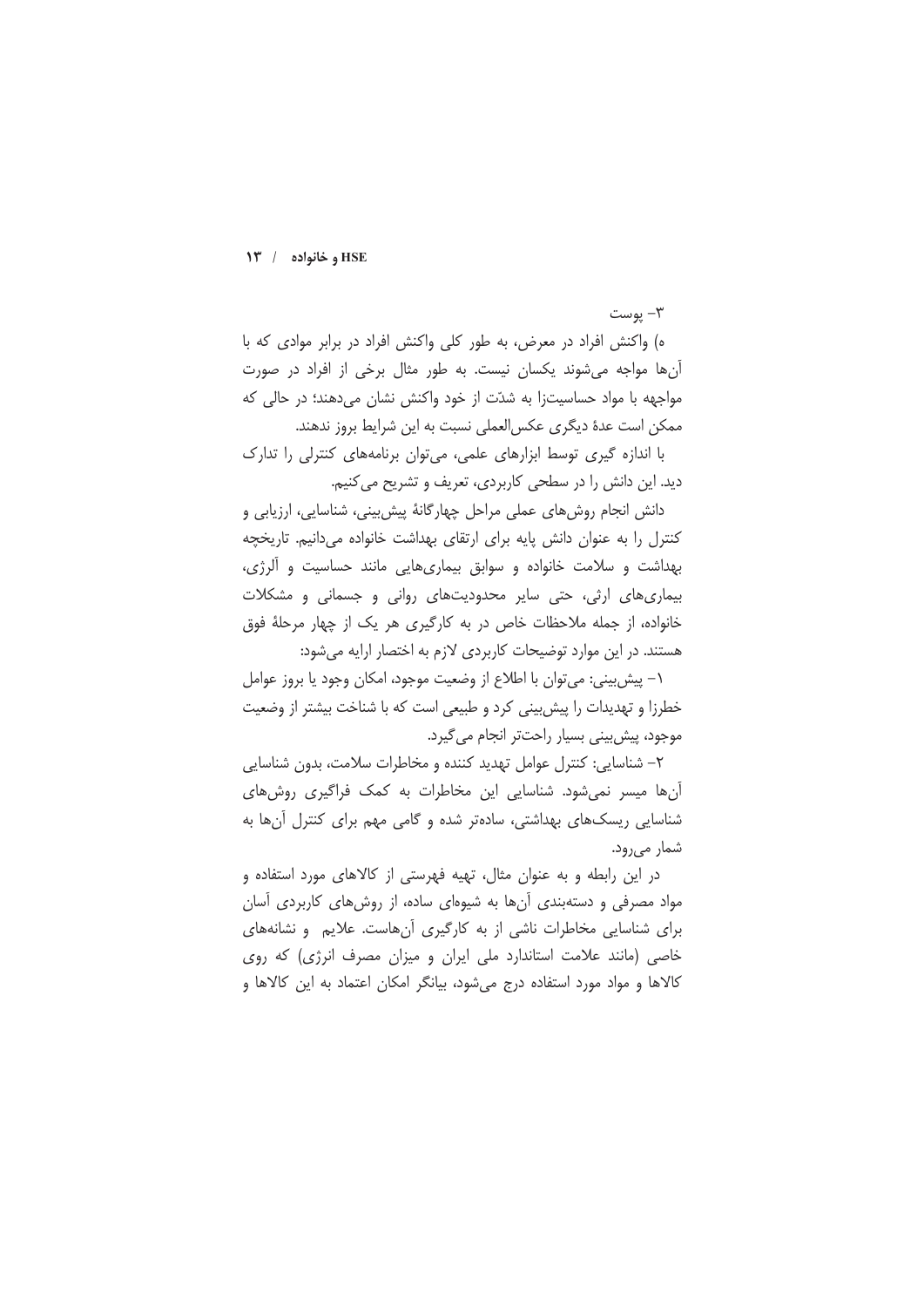$-w$ يوست

ه) واکنش افراد در معرض، به طور کلی واکنش افراد در برابر موادی که با آنها مواجه می شوند یکسان نیست. به طور مثال برخی از افراد در صورت مواجهه با مواد حساسیتزا به شدّت از خود واکنش نشان میدهند؛ در حالی که ممكن است عدة ديگرى عكسالعملى نسبت به اين شرايط بروز ندهند.

با اندازه گیری توسط ابزارهای علمی، می توان برنامههای کنترلی را تدارک دید. این دانش را در سطحی کاربردی، تعریف و تشریح می کنیم.

دانش انجام روشهای عملی مراحل چهارگانهٔ پیشبینی، شناسایی، ارزیابی و كنترل را به عنوان دانش پايه براي ارتقاى بهداشت خانواده مىدانيم. تاريخچه بهداشت و سلامت خانواده و سوابق بیماریهایی مانند حساسیت و آلرژی، بیماری های ارثی، حتی سایر محدودیتهای روانی و جسمانی و مشکلات خانواده، از جمله ملاحظات خاص در به کارگیری هر یک از چهار مرحلهٔ فوق هستند. در این موارد توضیحات کاربردی لازم به اختصار ارایه می شود:

١– پیش بینی: می توان با اطلاع از وضعیت موجود، امكان وجود يا بروز عوامل خطرزا و تهدیدات را پیش بینی کرد و طبیعی است که با شناخت بیشتر از وضعیت موجود، پیش بینی بسیار راحتتر انجام می گیرد.

٢- شناسايي: كنترل عوامل تهديد كننده و مخاطرات سلامت، بدون شناسايي آنها میسر نمی شود. شناسایی این مخاطرات به کمک فراگیری روش های شناسایی ریسکهای بهداشتی، سادهتر شده و گامی مهم برای کنترل آنها به شمار می رود.

در این رابطه و به عنوان مثال، تهیه فهرستی از کالاهای مورد استفاده و مواد مصرفی و دستهبندی آنها به شیوهای ساده، از روشهای کاربردی آسان برای شناسایی مخاطرات ناشی از به کارگیری آنهاست. علایم و نشانههای خاصی (مانند علامت استاندارد ملی ایران و میزان مصرف انرژی) که روی کالاها و مواد مورد استفاده درج میشود، بیانگر امکان اعتماد به این کالاها و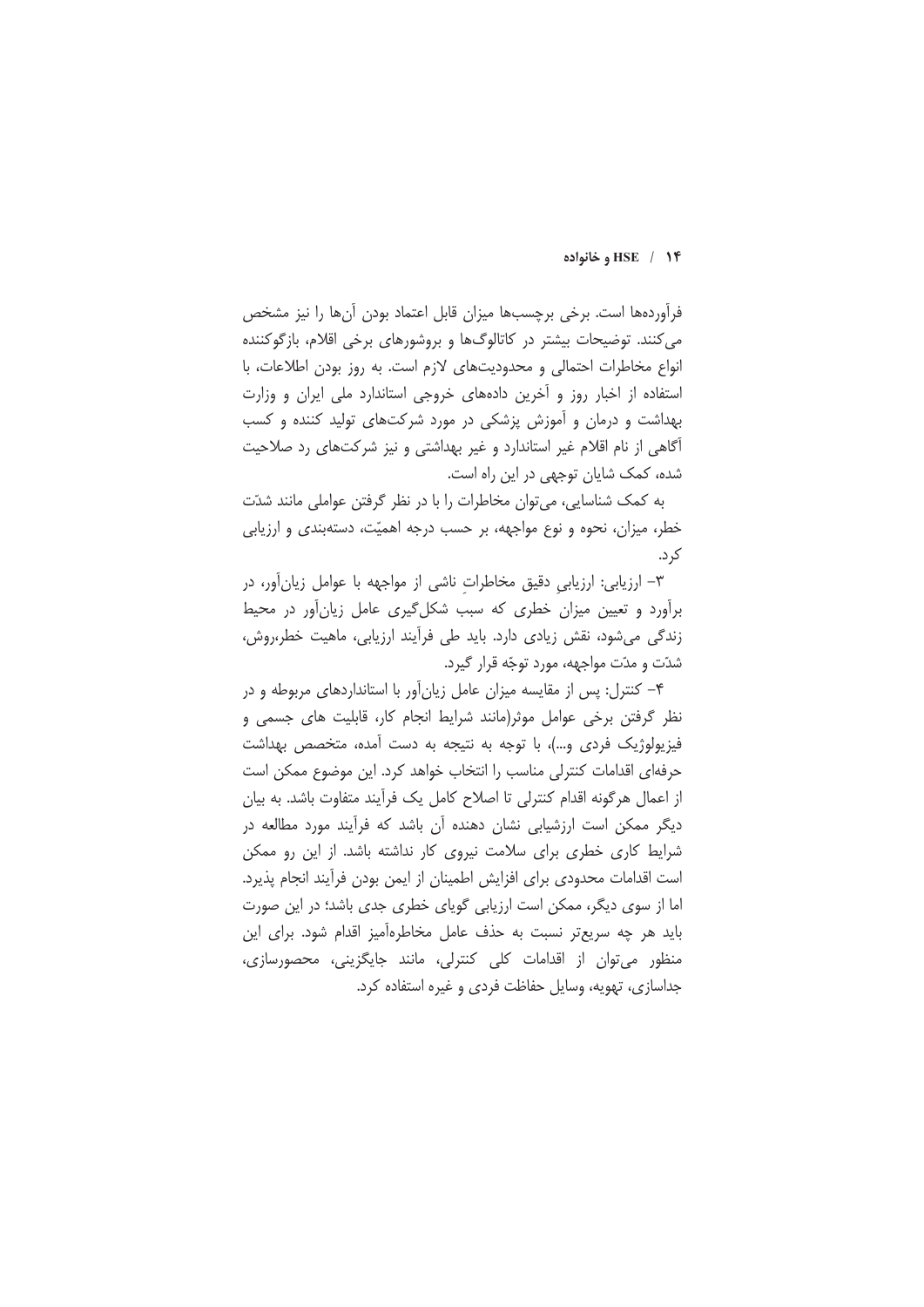#### HSE / 1۴ و خانواده

فرآوردهها است. برخی برچسبها میزان قابل اعتماد بودن آنها را نیز مشخص می کنند. توضیحات بیشتر در کاتالوگها و بروشورهای برخی اقلام، بازگوکننده انواع مخاطرات احتمالی و محدودیتهای لازم است. به روز بودن اطلاعات، با استفاده از اخبار روز و آخرین دادههای خروجی استاندارد ملی ایران و وزارت بهداشت و درمان و آموزش پزشکی در مورد شرکتهای تولید کننده و کسب آگاهی از نام اقلام غیر استاندارد و غیر بهداشتی و نیز شرکتهای رد صلاحیت شده، کمک شایان توجهی در این راه است.

به کمک شناسایی، می توان مخاطرات را با در نظر گرفتن عواملی مانند شدّت خطر، میزان، نحوه و نوع مواجهه، بر حسب درجه اهمیّت، دستهبندی و ارزیابی کړ د.

٣- ارزيابي: ارزيابي دقيق مخاطرات ناشي از مواجهه با عوامل زيان آور، در برأورد و تعیین میزان خطری که سبب شکل گیری عامل زیان أور در محیط زندگی می شود، نقش زیادی دارد. باید طی فراًیند ارزیابی، ماهیت خطر،روش، شدّت و مدّت مواجهه، مورد توجّه قرار گیرد.

۴- کنترل: پس از مقایسه میزان عامل زیانآور با استانداردهای مربوطه و در نظر گرفتن برخی عوامل موثر(مانند شرایط انجام کار، قابلیت های جسمی و فیزیولوژیک فردی و…)، با توجه به نتیجه به دست آمده، متخصص بهداشت حرفهای اقدامات کنترلی مناسب را انتخاب خواهد کرد. این موضوع ممکن است از اعمال هرگونه اقدام كنترلي تا اصلاح كامل يک فرأيند متفاوت باشد. به بيان دیگر ممکن است ارزشیابی نشان دهنده آن باشد که فرآیند مورد مطالعه در شرایط کاری خطری برای سلامت نیروی کار نداشته باشد. از این رو ممکن است اقدامات محدودى براى افزايش اطمينان از ايمن بودن فرآيند انجام پذيرد. اما از سوی دیگر، ممکن است ارزیابی گویای خطری جدی باشد؛ در این صورت باید هر چه سریعتر نسبت به حذف عامل مخاطرهآمیز اقدام شود. برای این منظور می توان از اقدامات کلی کنترلی، مانند جایگزینی، محصورسازی، جداسازی، تهویه، وسایل حفاظت فردی و غیره استفاده کرد.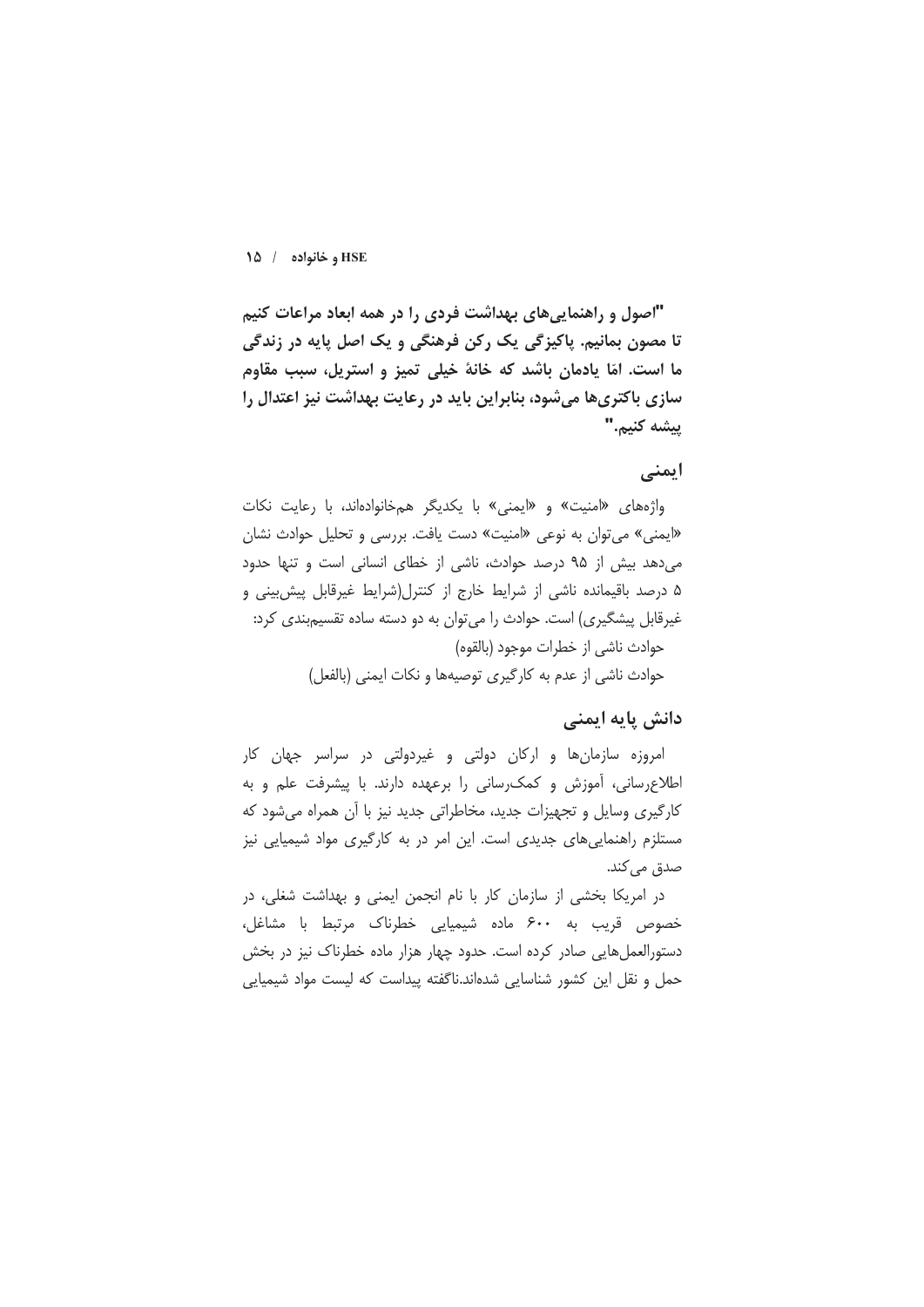"اصول و راهنماییهای بهداشت فردی را در همه ابعاد مراعات کنیم تا مصون بمانیم. پاکیزگی یک رکن فرهنگی و یک اصل پایه در زندگی ما است. امّا یادمان باشد که خانهٔ خیلی تمیز و استریل، سبب مقاوم سازی باکتریها میشود، بنابراین باید در رعایت بهداشت نیز اعتدال را يبشه كنيم."

# ایمنی

واژههای «امنیت» و «ایمنی» با یکدیگر همخانوادهاند، با رعایت نکات «ایمنی» می توان به نوعی «امنیت» دست یافت. بررسی و تحلیل حوادث نشان می دهد بیش از ۹۵ درصد حوادث، ناشی از خطای انسانی است و تنها حدود ۵ درصد باقیمانده ناشی از شرایط خارج از کنترل(شرایط غیرقابل پیش بینی و غیرقابل پیشگیری) است. حوادث را می توان به دو دسته ساده تقسیمبندی کرد: حوادث ناشي از خطرات موجود (بالقوه)

حوادث ناشی از عدم به کارگیری توصیهها و نکات ایمنی (بالفعل)

### دانش پایه ایمنی

امروزه سازمانها و ارکان دولتی و غیردولتی در سراسر جهان کار اطلاعرسانی، آموزش و کمک رسانی را برعهده دارند. با پیشرفت علم و به کارگیری وسایل و تجهیزات جدید، مخاطراتی جدید نیز با آن همراه میشود که مستلزم راهنمایی های جدیدی است. این امر در به کارگیری مواد شیمیایی نیز صدق می کند.

در امریکا بخشی از سازمان کار با نام انجمن ایمنی و بهداشت شغلی، در خصوص قریب به ۶۰۰ ماده شیمیایی خطرناک مرتبط با مشاغل، دستورالعمل هایی صادر کرده است. حدود چهار هزار ماده خطرناک نیز در بخش حمل و نقل این کشور شناسایی شدهاند.ناگفته پیداست که لیست مواد شیمیایی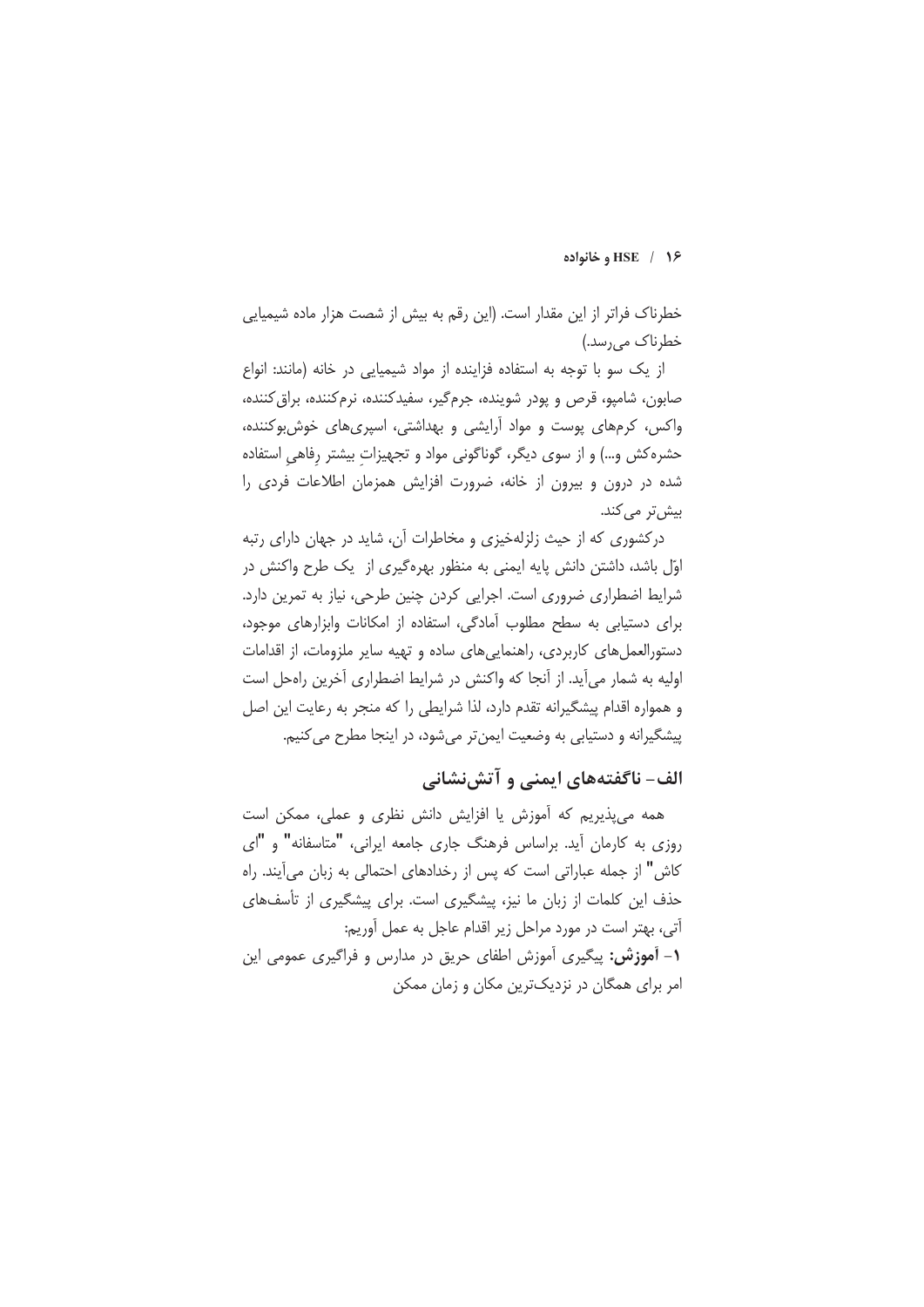#### 1۶ / HSE و خانواده

خطرناک فراتر از این مقدار است. (این رقم به بیش از شصت هزار ماده شیمیایی خطرناک می٫رسد.)

از یک سو با توجه به استفاده فزاینده از مواد شیمیایی در خانه (مانند: انواع صابون، شامپو، قرص و پودر شوینده، جرمگیر، سفیدکننده، نرمکننده، براق کننده، واکس، کرمهای پوست و مواد آرایشی و بهداشتی، اسپریهای خوش بوکننده، حشره کش و…) و از سوی دیگر، گوناگونی مواد و تجهیزات بیشتر رفاهی استفاده شده در درون و بیرون از خانه، ضرورت افزایش همزمان اطلاعات فردی را بیش تر می کند.

درکشوری که از حیث زلزلهخیزی و مخاطرات آن، شاید در جهان دارای رتبه اوّل باشد، داشتن دانش پایه ایمنی به منظور بهرهگیری از یک طرح واکنش در شرایط اضطراری ضروری است. اجرایی کردن چنین طرحی، نیاز به تمرین دارد. برای دستیابی به سطح مطلوب آمادگی، استفاده از امکانات وابزارهای موجود، دستورالعمل های کاربردی، راهنمایی های ساده و تهیه سایر ملزومات، از اقدامات اوليه به شمار مي آيد. از آنجا كه واكنش در شرايط اضطراري آخرين راهحل است و همواره اقدام پیشگیرانه تقدم دارد، لذا شرایطی را که منجر به رعایت این اصل پیشگیرانه و دستیابی به وضعیت ایمن تر میشود، در اینجا مطرح می کنیم.

# الف- ناگفتههای ایمنی و آتشنشانی

همه می پذیریم که آموزش یا افزایش دانش نظری و عملی، ممکن است روزی به کارمان أید. براساس فرهنگ جاری جامعه ایرانی، "متاسفانه" و "ای كاش" از جمله عباراتي است كه پس از رخدادهاي احتمالي به زبان مي آيند. راه حذف این کلمات از زبان ما نیز، پیشگیری است. برای پیشگیری از تأسفهای آتي، پهتر است در مورد مراحل زير اقدام عاجل به عمل آوريم: **۱- آموزش:** پیگیری آموزش اطفای حریق در مدارس و فراگیری عمومی این امر برای همگان در نزدیکترین مکان و زمان ممکن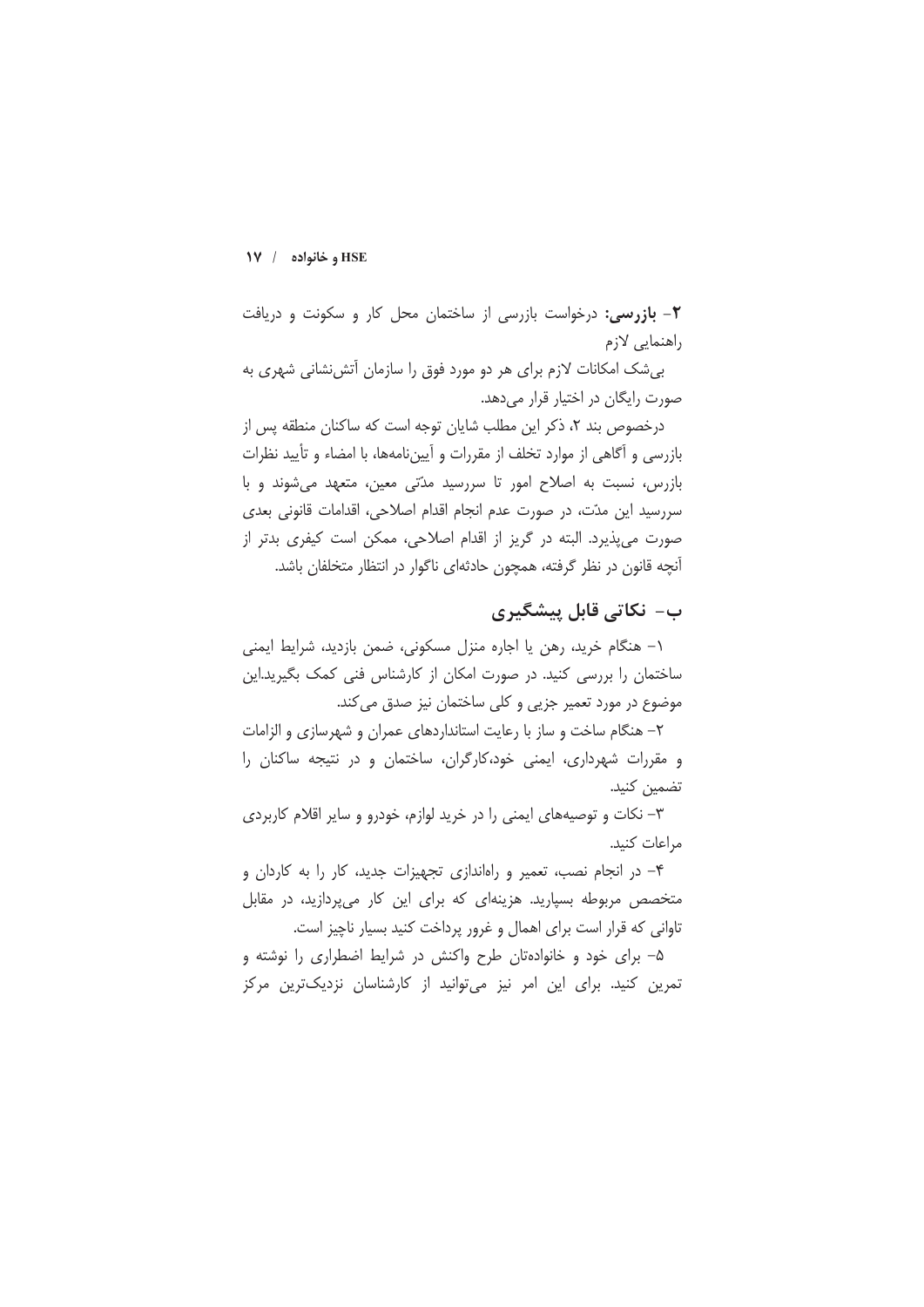۲- بازرسی: درخواست بازرسی از ساختمان محل کار و سکونت و دریافت راهنمایی لازم

بی شک امکانات لازم برای هر دو مورد فوق را سازمان آتش نشانی شهری به صورت رایگان در اختیار قرار میدهد.

درخصوص بند ۲، ذکر این مطلب شایان توجه است که ساکنان منطقه پس از بازرسی و آگاهی از موارد تخلف از مقررات و آییننامهها، با امضاء و تأیید نظرات بازرس، نسبت به اصلاح امور تا سررسید مدّتی معین، متعهد می شوند و با سررسید این مدّت، در صورت عدم انجام اقدام اصلاحی، اقدامات قانونی بعدی صورت می پذیرد. البته در گریز از اقدام اصلاحی، ممکن است کیفری بدتر از آنچه قانون در نظر گرفته، همچون حادثهای ناگوار در انتظار متخلفان باشد.

# ب– نکاتی قابل پیشگیری

١- هنگام خريد، رهن يا اجاره منزل مسكوني، ضمن بازديد، شرايط ايمني ساختمان را بررسی کنید. در صورت امکان از کارشناس فنی کمک بگیرید.این موضوع در مورد تعمیر جزیی و کلی ساختمان نیز صدق می کند.

۲– هنگام ساخت و ساز با رعایت استانداردهای عمران و شهرسازی و الزامات و مقررات شهرداری، ایمنی خود،کارگران، ساختمان و در نتیجه ساکنان را تضمين كنيد.

۳- نکات و توصیههای ایمنی را در خرید لوازم، خودرو و سایر اقلام کاربردی مراعات كنيد.

۴- در انجام نصب، تعمیر و راهاندازی تجهیزات جدید، کار را به کاردان و متخصص مربوطه بسیارید. هزینهای که برای این کار می پردازید، در مقابل تاوانی که قرار است برای اهمال و غرور پرداخت کنید بسیار ناچیز است.

۵– برای خود و خانوادهتان طرح واکنش در شرایط اضطراری را نوشته و تمرین کنید. برای این امر نیز می توانید از کارشناسان نزدیکترین مرکز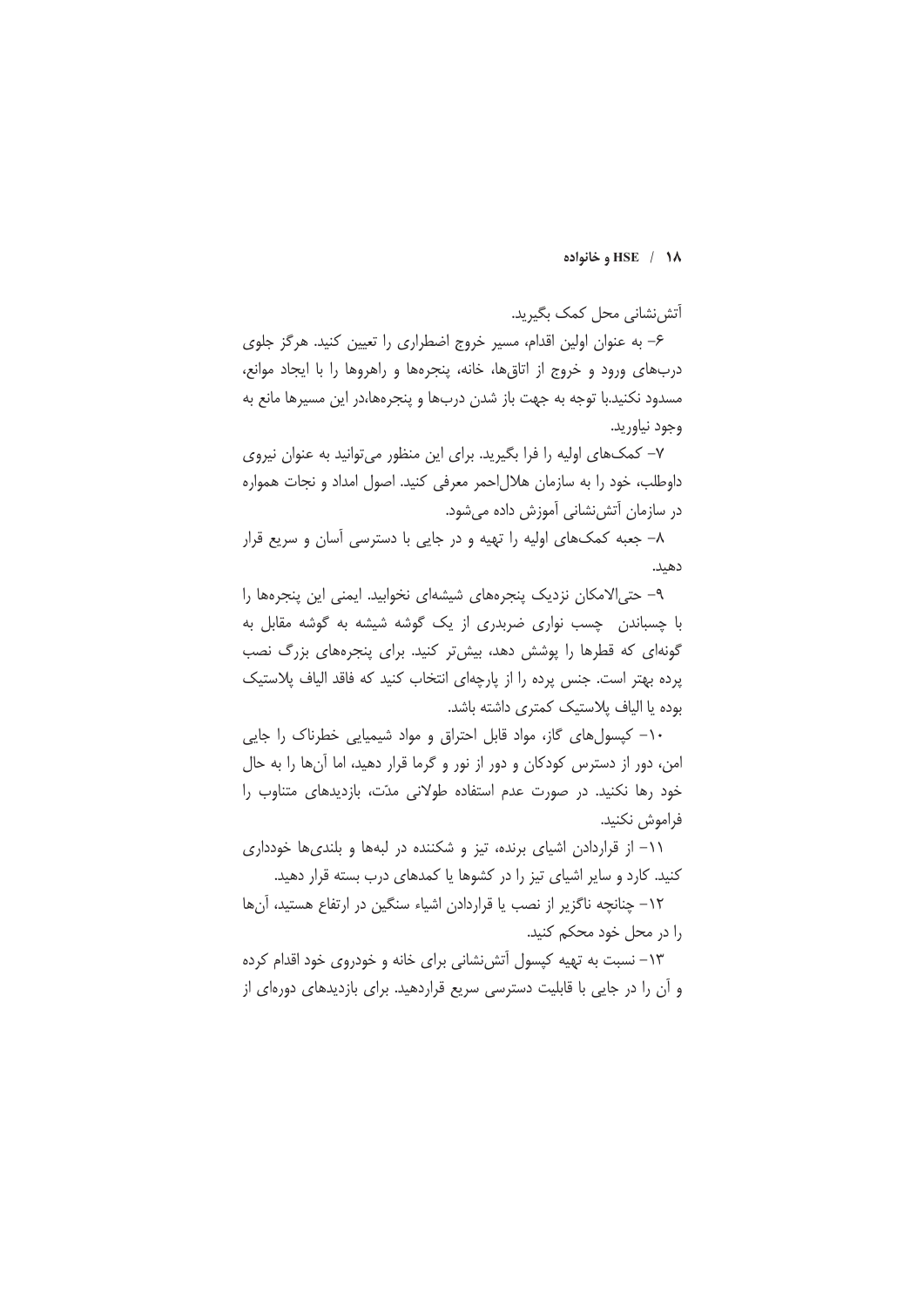#### HSE / 1۸ و خانواده

آتش نشانی محل کمک بگیرید.

۶– به عنوان اولین اقدام، مسیر خروج اضطراری را تعیین کنید. هرگز جلوی دربهای ورود و خروج از اتاق ها، خانه، پنجرهها و راهروها را با ایجاد موانع، مسدود نکنید.با توجه به جهت باز شدن دربها و پنجرهها،در این مسیرها مانع به وجود نياوريد.

۷– کمکهای اولیه را فرا بگیرید. برای این منظور می توانید به عنوان نیروی داوطلب، خود را به سازمان هلالاحمر معرفی کنید. اصول امداد و نجات همواره در سازمان آتشiنشانی آموزش داده میشود.

٨- جعبه كمكهاى اوليه را تهيه و در جايى با دسترسى آسان و سريع قرار دهند.

٩- حتى الامكان نزديك ينجرههاى شيشهاى نخوابيد. ايمنى اين ينجرهها را با چسباندن چسب نواری ضربدری از یک گوشه شیشه به گوشه مقابل به گونهای که قطرها را پوشش دهد، بیش تر کنید. برای پنجرههای بزرگ نصب پرده بهتر است. جنس پرده را از پارچهای انتخاب کنید که فاقد الیاف پلاستیک بوده یا الیاف پلاستیک کمتری داشته باشد.

۱۰– کپسولهای گاز، مواد قابل احتراق و مواد شیمیایی خطرناک را جایی امن، دور از دسترس کودکان و دور از نور و گرما قرار دهید، اما آنها را به حال خود رها نکنید. در صورت عدم استفاده طولانی مدّت، بازدیدهای متناوب را فراموش نكنيد.

۱۱– از قراردادن اشیای برنده، تیز و شکننده در لبهها و بلندیها خودداری کنید. کارد و سایر اشیای تیز را در کشوها یا کمدهای درب بسته قرار دهید.

١٢- چنانچه ناگزير از نصب يا قراردادن اشياء سنگين در ارتفاع هستيد، آنها را در محل خود محکم کنید.

۱۳– نسبت به تهیه کیسول آتش نشانی برای خانه و خودروی خود اقدام کرده و آن را در جایی با قابلیت دسترسی سریع قراردهید. برای بازدیدهای دورهای از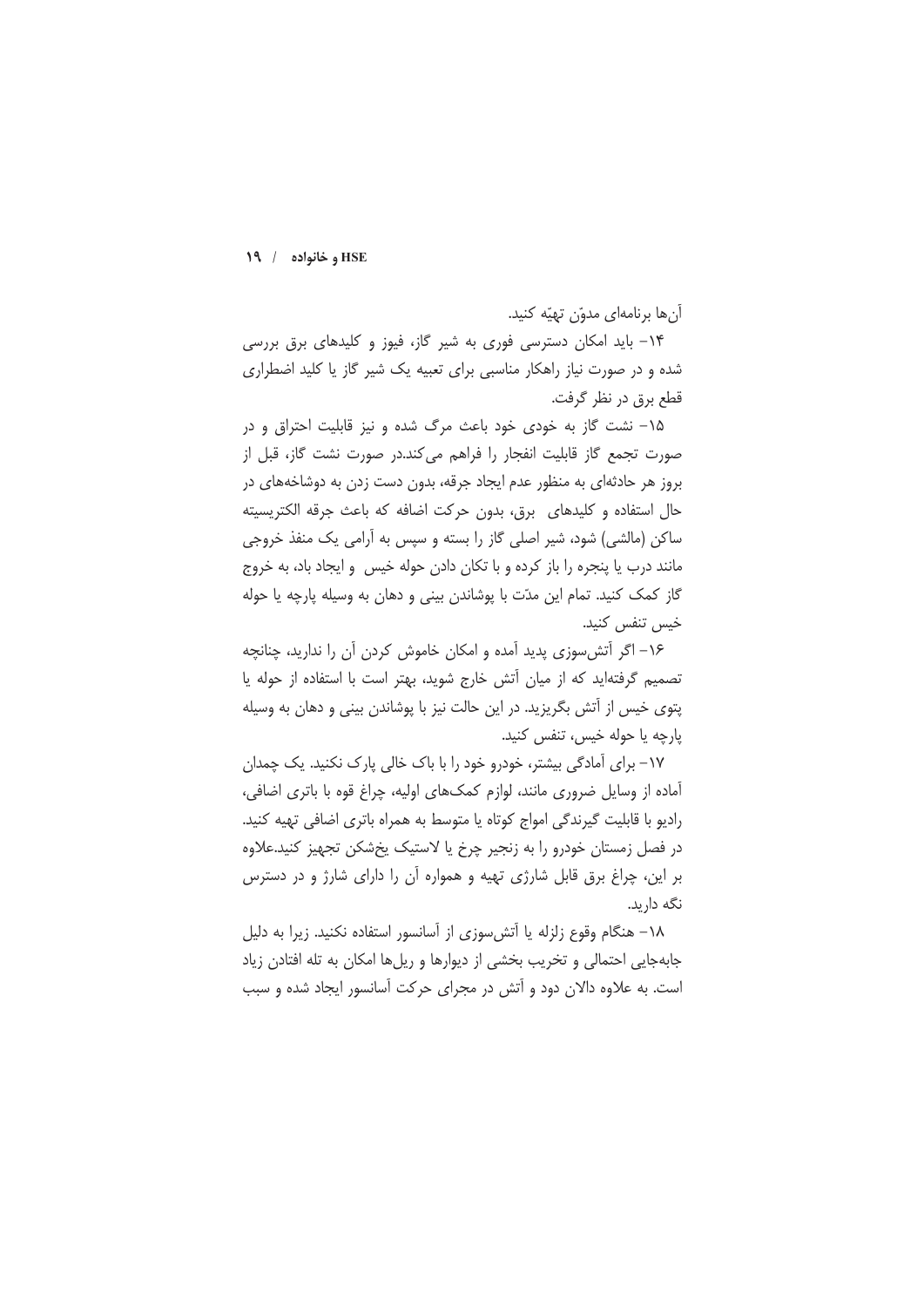آنها برنامهای مدوّن تهیّه کنید.

۱۴– باید امکان دسترسی فوری به شیر گاز، فیوز و کلیدهای برق بررسی شده و در صورت نیاز راهکار مناسبی برای تعبیه یک شیر گاز یا کلید اضطراری قطع برق در نظر گرفت.

۱۵– نشت گاز به خودی خود باعث مرگ شده و نیز قابلیت احتراق و در صورت تجمع گاز قابلیت انفجار را فراهم می کند.در صورت نشت گاز، قبل از بروز هر حادثهای به منظور عدم ایجاد جرقه، بدون دست زدن به دوشاخههای در حال استفاده و کلیدهای برق، بدون حرکت اضافه که باعث جرقه الکتریسیته ساکن (مالشی) شود، شیر اصلی گاز را بسته و سپس به آرامی یک منفذ خروجی مانند درب یا پنجره را باز کرده و با تکان دادن حوله خیس و ایجاد باد، به خروج گاز کمک کنید. تمام این مدّت با پوشاندن بینی و دهان به وسیله پارچه یا حوله خس تنفس کنید.

۱۶– اگر آتش سوزی پدید آمده و امکان خاموش کردن آن را ندارید، چنانچه تصمیم گرفتهاید که از میان أتش خارج شوید، بهتر است با استفاده از حوله یا یتوی خیس از آتش بگریزید. در این حالت نیز با پوشاندن بینی و دهان به وسیله يارچه يا حوله خيس، تنفس كنيد.

۱۷– برای آمادگی بیشتر، خودرو خود را با باک خالی پارک نکنید. یک چمدان آماده از وسایل ضروری مانند، لوازم کمکهای اولیه، چراغ قوه با باتری اضافی، رادیو با قابلیت گیرندگی امواج کوتاه یا متوسط به همراه باتری اضافی تهیه کنید. در فصل زمستان خودرو را به زنجیر چرخ یا لاستیک پخشکن تجهیز کنید.علاوه بر این، چراغ برق قابل شارژی تهیه و همواره آن را دارای شارژ و در دسترس نگه دارید.

١٨- هنگام وقوع زلزله يا آتش سوزى از آسانسور استفاده نكنيد. زيرا به دليل جابهجایی احتمالی و تخریب بخشی از دیوارها و ریلها امکان به تله افتادن زیاد است. به علاوه دالان دود و آتش در مجرای حرکت آسانسور ایجاد شده و سبب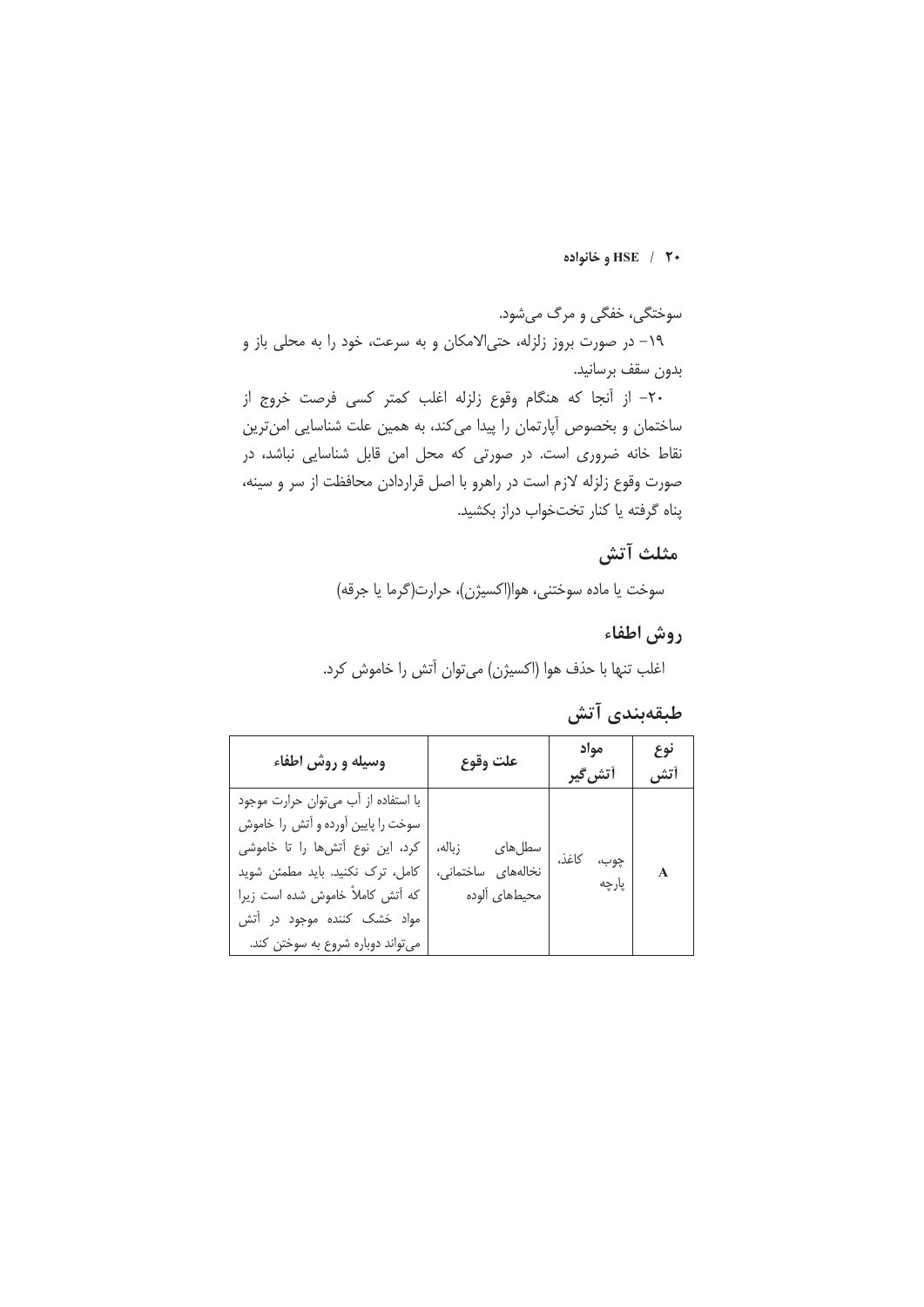### **HSE** / ۲۰ و خانواده

سوختگي، خفگي و مرگ مي شود.

١٩- در صورت بروز زلزله، حتى الامكان و به سرعت، خود را به محلى باز و بدون سقف برسانيد.

٢٠- از آنجا كه هنگام وقوع زلزله اغلب كمتر كسى فرصت خروج از ساختمان و بخصوص آپارتمان را پیدا میکند، به همین علت شناسایی امنترین نقاط خانه ضروری است. در صورتی که محل امن قابل شناسایی نباشد، در صورت وقوع زلزله لازم است در راهرو با اصل قراردادن محافظت از سر و سينه، پناه گرفته یا کنار تختخواب دراز بکشید.

# مثلث آتش

سوخت يا ماده سوختني، هوا(اكسيژن)، حرارت(گرما يا جرقه)

# روش اطفاء

اغلب تنها با حذف هوا (اکسیژن) می توان آتش را خاموش کرد.

# طبقەبندى آتش

| وسیله و روش اطفاء                                                                                                                                                                                                                                          | علت وقوع                                                | مواد<br>أتش گير        | نوع<br>أتش |
|------------------------------------------------------------------------------------------------------------------------------------------------------------------------------------------------------------------------------------------------------------|---------------------------------------------------------|------------------------|------------|
| با استفاده از آب می توان حرارت موجود<br>سوخت را پایین آورده و آتش را خاموش<br>كرد، اين نوع آتشها را تا خاموشى<br>كامل، ترك نكنيد. بايد مطمئن شويد<br>كه أتش كاملاً خاموش شده است زيرا<br>مواد خشک کننده موجود در آتش<br>می تواند دوباره شروع به سوختن کند. | سطلهای<br>زباله،<br>نخالههای ساختمانی،<br>محيطهاى ألوده | چوب،<br>كاغذ،<br>پارچه | A          |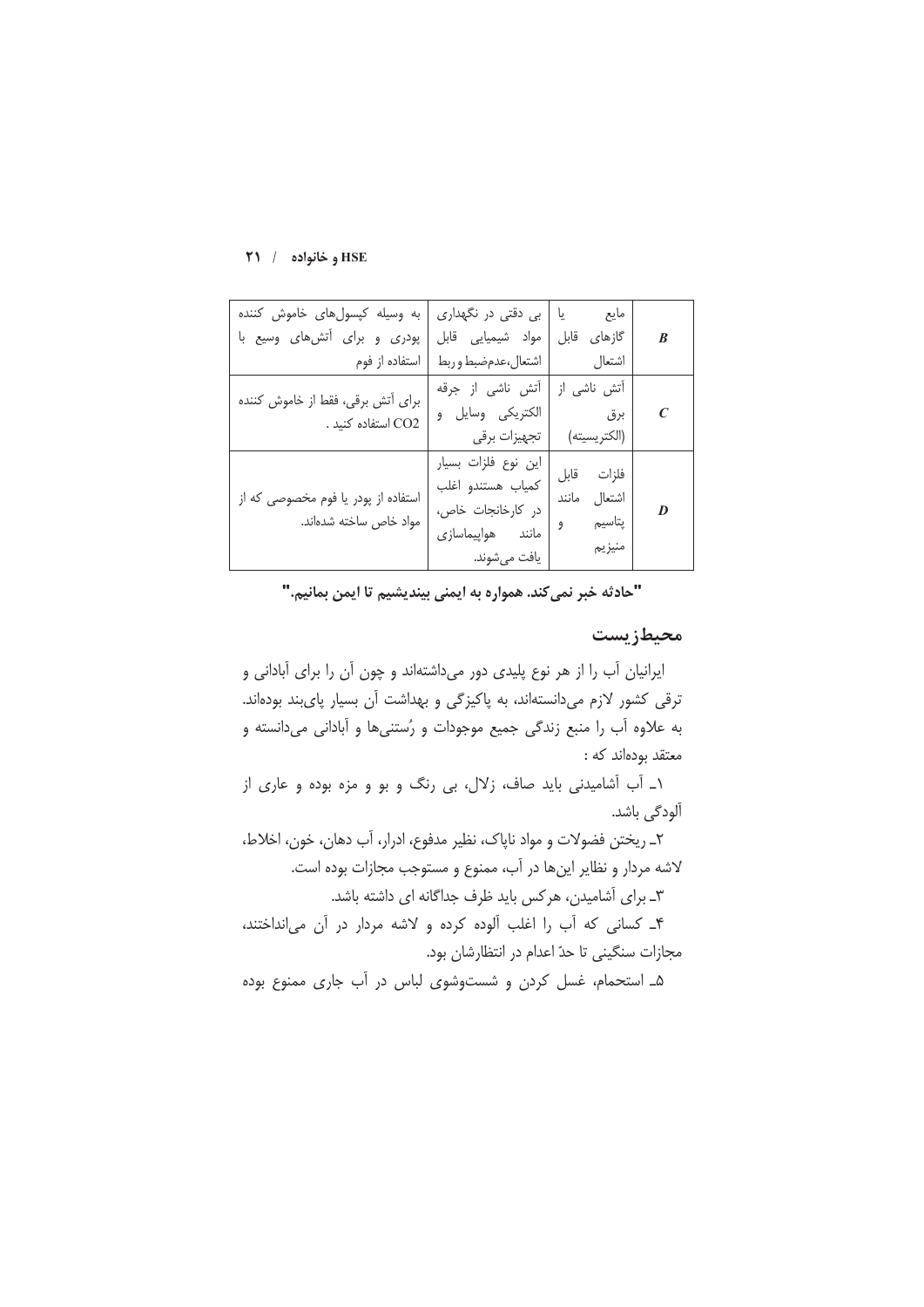| به وسیله کپسول های خاموش کننده<br>پودری و برای آتشهای وسیع با<br>  استفاده از فوم | بی دقتی در نگهداری<br>مواد شيميايي قابل<br>اشتعال،عدمضبط وربط                                         | مايع يا<br>  گازهای قابل<br>اشتعال                      | $\boldsymbol{B}$ |
|-----------------------------------------------------------------------------------|-------------------------------------------------------------------------------------------------------|---------------------------------------------------------|------------------|
| برای آتش برقی، فقط از خاموش کننده<br>. CO2 استفاده کنید .                         | آتش ناشى از جرقه<br>الكتريكي وسايل و<br>  تجهيزات برقي                                                | آتش ناشى از<br>  برق<br>(الكتريسيته)                    | $\boldsymbol{C}$ |
| استفاده از پودر یا فوم مخصوصی که از<br>مواد خاص ساخته شدهاند.                     | این نوع فلزات بسیار<br>كمياب هستندو اغلب<br>در كارخانجات خاص،<br>مانند هواپیماسازی<br>  يافت مي شوند. | فلزات قابل<br>ا اشتعال<br>مانند<br>  پتاسیم و<br>منيزيم | D                |

"حادثه خبر نميكند. همواره به ايمني بينديشيم تا ايمن بمانيم."

### محيطزيست

ایرانیان آب را از هر نوع پلیدی دور میداشتهاند و چون آن را برای آبادانی و ترقی کشور لازم میدانستهاند، به پاکیزگی و بهداشت آن بسیار پایبند بودهاند. به علاوه آب را منبع زندگی جمیع موجودات و رُستنیها و آبادانی میدانسته و معتقد بودهاند که :

١\_ أب أشاميدنى بايد صاف، زلال، بى رنگ و بو و مزه بوده و عارى از آلودگی باشد.

٢\_ ريختن فضولات و مواد ناپاک، نظير مدفوع، ادرار، آب دهان، خون، اخلاط، لاشه مردار و نظایر اینها در آب، ممنوع و مستوجب مجازات بوده است.

۳ـ برای آشامیدن، هرکس باید ظرف جداگانه ای داشته باشد.

۴ـ كسانى كه آب را اغلب آلوده كرده و لاشه مردار در آن مى انداختند، مجازات سنگینی تا حدّ اعدام در انتظارشان بود.

۵ـ استحمام، غسل کردن و شستوشوی لباس در آب جاری ممنوع بوده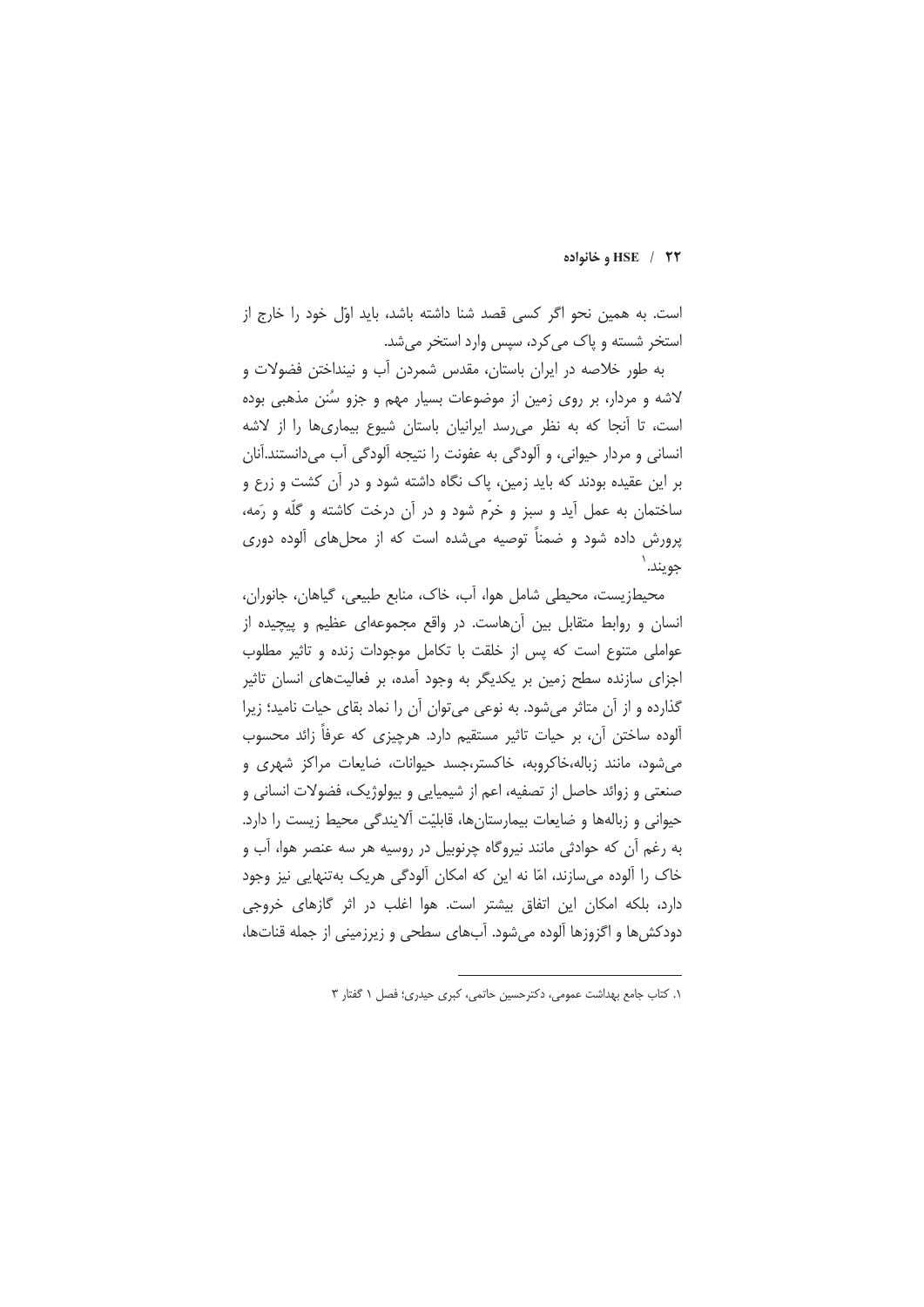#### HSE / ٢٢ وخانواده

است. به همین نحو اگر کسی قصد شنا داشته باشد، باید اوّل خود را خارج از استخر شسته و یاک می کرد، سپس وارد استخر می شد.

به طور خلاصه در ایران باستان، مقدس شمردن آب و نینداختن فضولات و لاشه و مردار، بر روی زمین از موضوعات بسیار مهم و جزو سُنن مذهبی بوده است، تا آنجا که به نظر می رسد ایرانیان باستان شیوع بیماری ها را از لاشه انساني و مردار حيواني، و آلودگي به عفونت را نتيجه آلودگي آب مي دانستند.آنان بر این عقیده بودند که باید زمین، پاک نگاه داشته شود و در آن کشت و زرع و ساختمان به عمل آید و سبز و خرّم شود و در آن درخت کاشته و گلّه و رَمه، یرورش داده شود و ضمناً توصیه می شده است که از محل های آلوده دوری جويند.

محیطزیست، محیطی شامل هوا، آب، خاک، منابع طبیعی، گیاهان، جانوران، انسان و روابط متقابل بین آن هاست. در واقع مجموعهای عظیم و پیچیده از عواملی متنوع است که پس از خلقت با تکامل موجودات زنده و تاثیر مطلوب اجزای سازنده سطح زمین بر یکدیگر به وجود آمده، بر فعالیتهای انسان تاثیر گذارده و از آن متاثر می شود. به نوعی می توان آن را نماد بقای حیات نامید؛ زیرا آلوده ساختن أن، بر حيات تاثير مستقيم دارد. هرچيزي كه عرفاً زائد محسوب می شود، مانند زباله،خاکروبه، خاکستر،جسد حیوانات، ضایعات مراکز شهری و صنعتی و زوائد حاصل از تصفیه، اعم از شیمیایی و بیولوژیک، فضولات انسانی و حيواني و زبالهها و ضايعات بيمارستانها، قابليّت آلايندگي محيط زيست را دارد. به رغم آن که حوادثی مانند نیروگاه چرنوبیل در روسیه هر سه عنصر هوا، آب و خاک را آلوده می سازند، امّا نه این که امکان آلودگی هریک بهتنهایی نیز وجود دارد، بلكه امكان اين اتفاق بيشتر است. هوا اغلب در اثر گازهاى خروجى دودکش ها و اگزوزها آلوده می شود. آبهای سطحی و زیرزمینی از جمله قناتها،

١. كتاب جامع بهداشت عمومى، دكترحسين حاتمى، كبرى حيدرى؛ فصل ١ گفتار ٣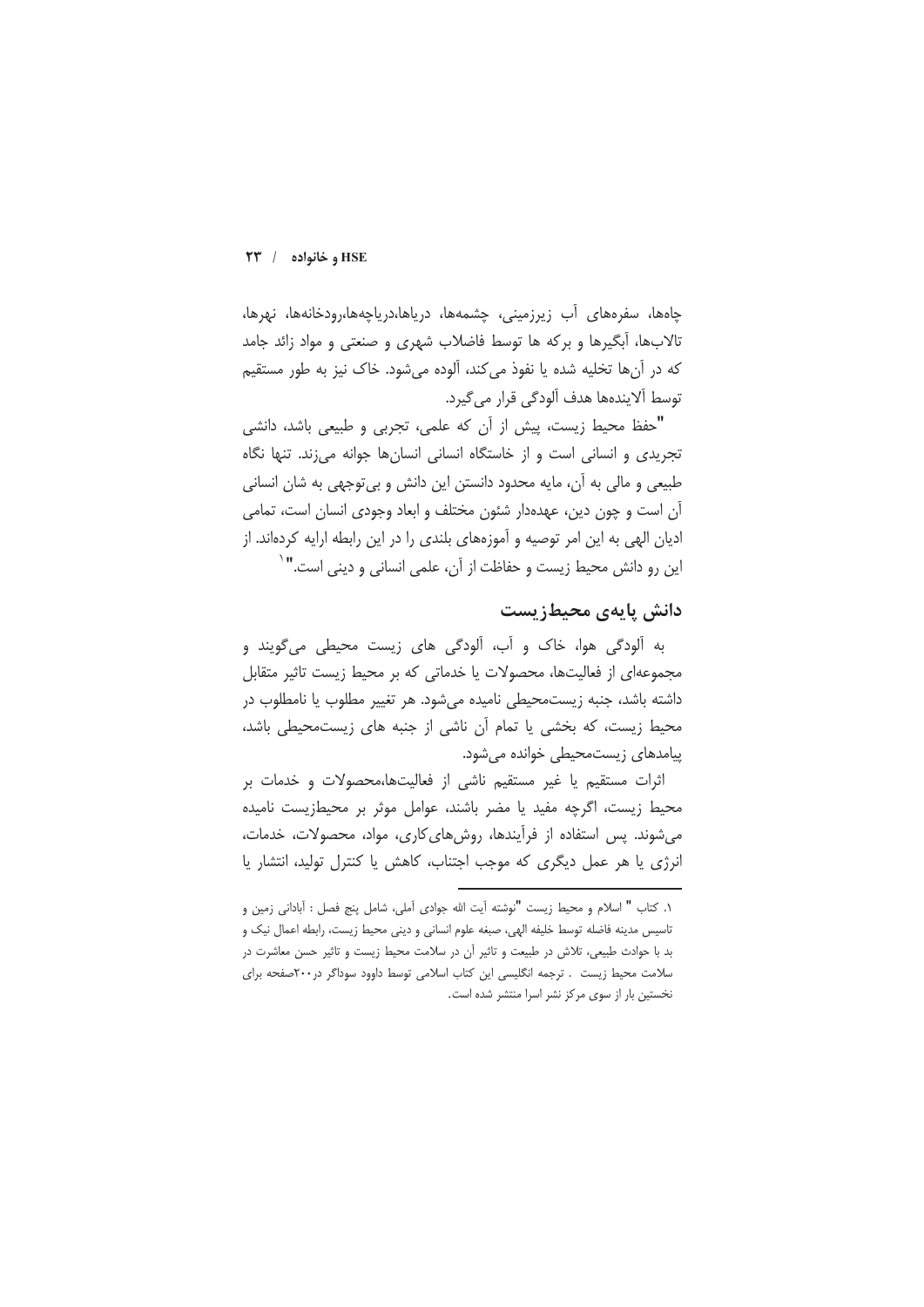#### $\overline{Y}$ و خانواده /  $\overline{Y}$

چاەھا، سفرەھای آب زیرزمینی، چشمەھا، دریاھا،دریاچەھا،رودخانەھا، نھرھا، تالابها، اَبگیرها و برکه ها توسط فاضلاب شهری و صنعتی و مواد زائد جامد که در آنها تخلیه شده یا نفوذ می کند، آلوده می شود. خاک نیز به طور مستقیم توسط ألايندهها هدف ألودگي قرار مي گيرد.

"حفظ محيط زيست، پيش از آن كه علمي، تجربي و طبيعي باشد، دانشي تجریدی و انسانی است و از خاستگاه انسانی انسانها جوانه می;ند. تنها نگاه طبيعي و مالي به اَن، مايه محدود دانستن اين دانش و بي توجهي به شان انساني آن است و چون دین، عهدهدار شئون مختلف و ابعاد وجودی انسان است، تمامی ادیان الهی به این امر توصیه و آموزههای بلندی را در این رابطه ارایه کردهاند. از این رو دانش محیط زیست و حفاظت از آن، علمی انسانی و دینی است."`

# دانش پایهی محیطزیست

به ألودگی هوا، خاک و أب، ألودگی های زیست محیطی میگویند و مجموعه|ی از فعالیتها، محصولات یا خدماتی که بر محیط زیست تاثیر متقابل داشته باشد، جنبه زیستمحیطی نامیده می شود. هر تغییر مطلوب یا نامطلوب در محیط زیست، که بخشی یا تمام اًن ناشی از جنبه های زیستمحیطی باشد، پیامدهای زیستمحیطی خوانده میشود.

اثرات مستقیم یا غیر مستقیم ناشی از فعالیتها،محصولات و خدمات بر محیط زیست، اگرچه مفید یا مضر باشند، عوامل موثر بر محیطزیست نامیده می شوند. پس استفاده از فرآیندها، روش های کاری، مواد، محصولات، خدمات، انرژی یا هر عمل دیگری که موجب اجتناب، کاهش یا کنترل تولید، انتشار یا

١. كتاب " اسلام و محيط زيست "نوشته آيت الله جوادى آملي، شامل پنج فصل : آباداني زمين و تاسيس مدينه فاضله توسط خليفه الهي، صبغه علوم انساني و ديني محيط زيست، رابطه اعمال نيک و بد با حوادث طبیعی، تلاش در طبیعت و تاثیر آن در سلامت محیط زیست و تاثیر حسن معاشرت در سلامت محیط زیست . ترجمه انگلیسی این کتاب اسلامی توسط داوود سوداگر در۲۰۰صفحه برای نخستین بار از سوی مرکز نشر اسرا منتشر شده است.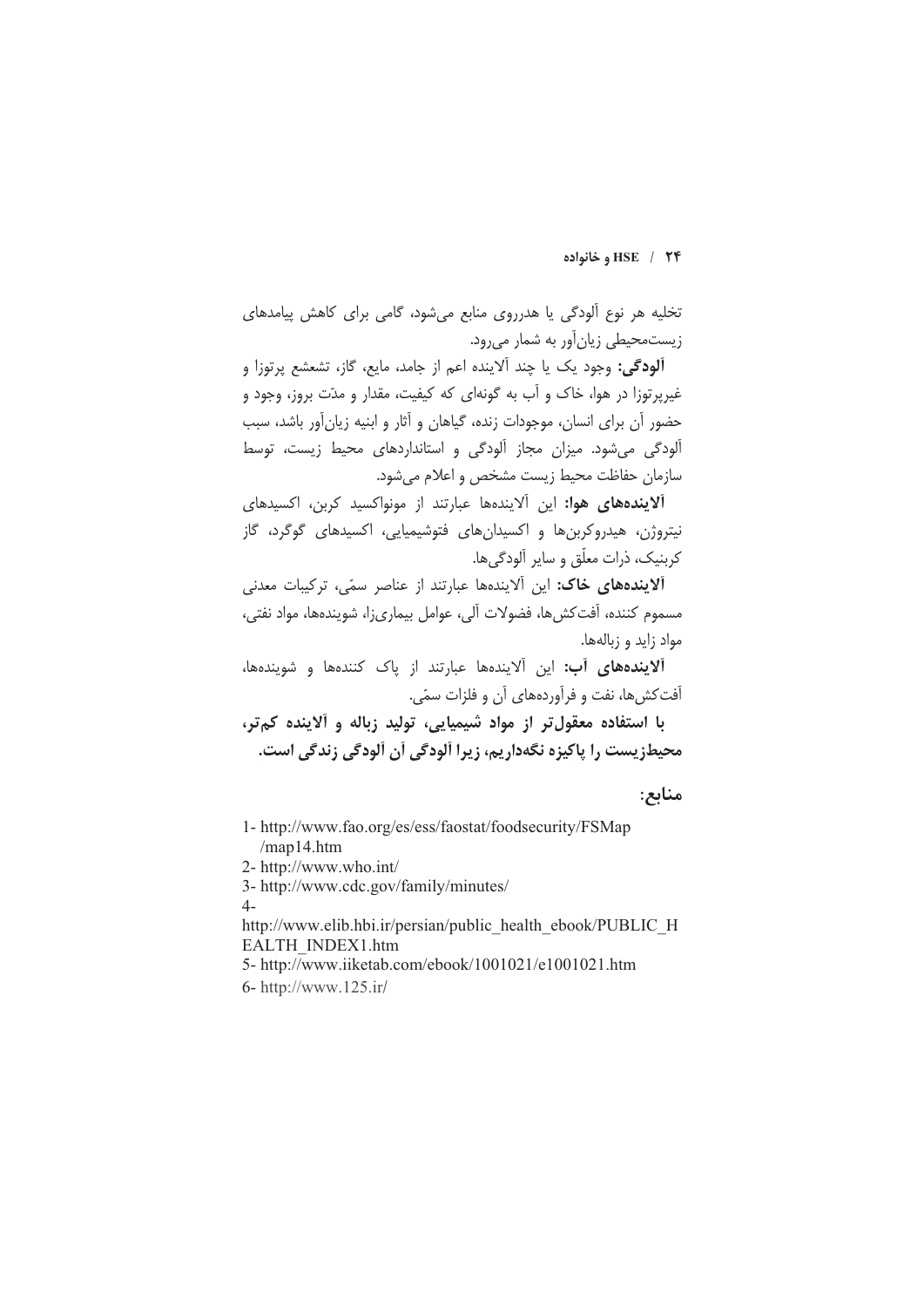#### HSE / ٢۴ و خانواده

تخلیه هر نوع آلودگی یا هدرروی منابع می شود، گامی برای کاهش پیامدهای زیستمحیطی زیانآور به شمار میرود.

**آلودگی:** وجود یک یا چند آلاینده اعم از جامد، مایع، گاز، تشعشع پرتوزا و غیرپرتوزا در هوا، خاک و آب به گونهای که کیفیت، مقدار و مدّت بروز، وجود و حضور آن برای انسان، موجودات زنده، گیاهان و آثار و ابنیه زیانآور باشد، سبب آلودگی می شود. میزان مجاز آلودگی و استانداردهای محیط زیست، توسط سازمان حفاظت محيط زيست مشخص و اعلام مى شود.

آلایندههای هوا: این آلایندهها عبارتند از مونواکسید کربن، اکسیدهای نیتروژن، هیدروکربنها و اکسیدانهای فتوشیمیایی، اکسیدهای گوگرد، گاز کربنیک، ذرات معلّق و سایر آلودگی ها.

آلایندههای خاک: این آلایندهها عبارتند از عناصر سمّی، ترکیبات معدنی مسموم كننده، آفتكش ها، فضولات آلى، عوامل بيمارىزا، شويندهها، مواد نفتى، مواد زايد و زبالهها.

آلایندههای آب: این آلایندهها عبارتند از یاک کنندهها و شویندهها، آفت کش ها، نفت و فرآوردههای آن و فلزات سمّی.

با استفاده معقول تر از مواد شیمیایی، تولید زباله و آلاینده کمتر، محیطزیست را پاکیزه نگهداریم، زیرا آلودگی آن آلودگی زندگی است.

## منابع:

- 1- http://www.fao.org/es/ess/faostat/foodsecurity/FSMap  $/map14.html$
- 2- http://www.who.int/

3- http://www.cdc.gov/family/minutes/

 $4-$ 

http://www.elib.hbi.ir/persian/public health ebook/PUBLIC H EALTH INDEX1.htm

5- http://www.iiketab.com/ebook/1001021/e1001021.htm 6- http://www.125.ir/